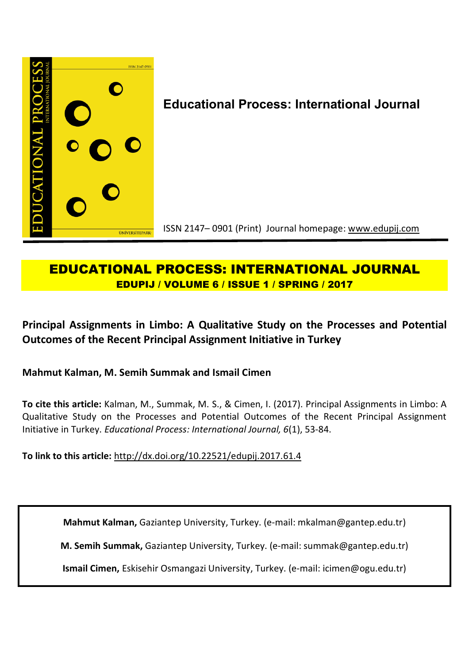

# **EDUCATIONAL PROCESS: INTERNATIONAL JOURNAL EDUPIJ / VOLUME 6 / ISSUE 1 / SPRING / 2017**

**Principal Assignments in Limbo: A Qualitative Study on the Processes and Potential Outcomes of the Recent Principal Assignment Initiative in Turkey**

**Mahmut Kalman, M. Semih Summak and Ismail Cimen**

**To cite this article:** Kalman, M., Summak, M. S., & Cimen, I. (2017). Principal Assignments in Limbo: A Qualitative Study on the Processes and Potential Outcomes of the Recent Principal Assignment Initiative in Turkey. *Educational Process: International Journal, 6*(1), 53-84.

**To link to this article:** http://dx.doi.org/10.22521/edupij.2017.61.4

**Mahmut Kalman,** Gaziantep University, Turkey. (e-mail: mkalman@gantep.edu.tr)

**M. Semih Summak,** Gaziantep University, Turkey. (e-mail: summak@gantep.edu.tr)

**Ismail Cimen,** Eskisehir Osmangazi University, Turkey. (e-mail: icimen@ogu.edu.tr)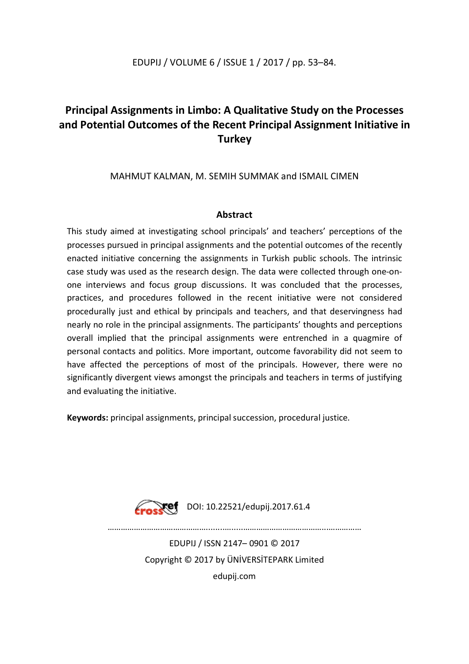## EDUPIJ / VOLUME 6 / ISSUE 1 / 2017 / pp. 53–84.

## **Principal Assignments in Limbo: A Qualitative Study on the Processes and Potential Outcomes of the Recent Principal Assignment Initiative in Turkey**

## MAHMUT KALMAN, M. SEMIH SUMMAK and ISMAIL CIMEN

## **Abstract**

This study aimed at investigating school principals' and teachers' perceptions of the processes pursued in principal assignments and the potential outcomes of the recently enacted initiative concerning the assignments in Turkish public schools. The intrinsic case study was used as the research design. The data were collected through one-onone interviews and focus group discussions. It was concluded that the processes, practices, and procedures followed in the recent initiative were not considered procedurally just and ethical by principals and teachers, and that deservingness had nearly no role in the principal assignments. The participants' thoughts and perceptions overall implied that the principal assignments were entrenched in a quagmire of personal contacts and politics. More important, outcome favorability did not seem to have affected the perceptions of most of the principals. However, there were no significantly divergent views amongst the principals and teachers in terms of justifying and evaluating the initiative.

**Keywords:** principal assignments, principal succession, procedural justice.



 $\sqrt{ref}$  DOI: 10.22521/edupij.2017.61.4

………………………………………........….....………………………………...……………

EDUPIJ / ISSN 2147– 0901 © 2017 Copyright © 2017 by ÜNİVERSİTEPARK Limited edupij.com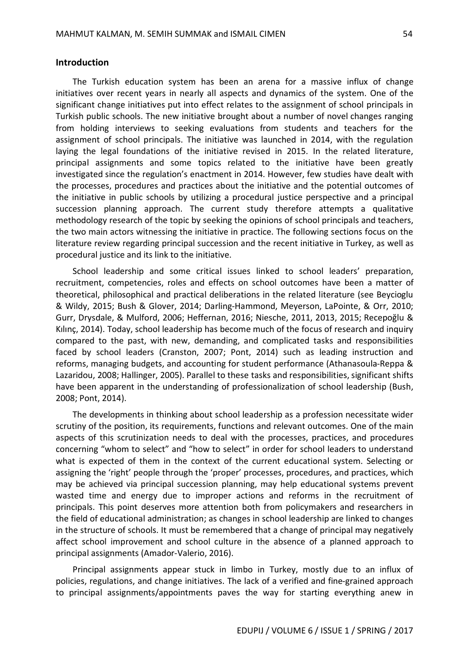#### **Introduction**

The Turkish education system has been an arena for a massive influx of change initiatives over recent years in nearly all aspects and dynamics of the system. One of the significant change initiatives put into effect relates to the assignment of school principals in Turkish public schools. The new initiative brought about a number of novel changes ranging from holding interviews to seeking evaluations from students and teachers for the assignment of school principals. The initiative was launched in 2014, with the regulation laying the legal foundations of the initiative revised in 2015. In the related literature, principal assignments and some topics related to the initiative have been greatly investigated since the regulation's enactment in 2014. However, few studies have dealt with the processes, procedures and practices about the initiative and the potential outcomes of the initiative in public schools by utilizing a procedural justice perspective and a principal succession planning approach. The current study therefore attempts a qualitative methodology research of the topic by seeking the opinions of school principals and teachers, the two main actors witnessing the initiative in practice. The following sections focus on the literature review regarding principal succession and the recent initiative in Turkey, as well as procedural justice and its link to the initiative.

School leadership and some critical issues linked to school leaders' preparation, recruitment, competencies, roles and effects on school outcomes have been a matter of theoretical, philosophical and practical deliberations in the related literature (see Beycioglu & Wildy, 2015; Bush & Glover, 2014; Darling-Hammond, Meyerson, LaPointe, & Orr, 2010; Gurr, Drysdale, & Mulford, 2006; Heffernan, 2016; Niesche, 2011, 2013, 2015; Recepoğlu & Kılınç, 2014). Today, school leadership has become much of the focus of research and inquiry compared to the past, with new, demanding, and complicated tasks and responsibilities faced by school leaders (Cranston, 2007; Pont, 2014) such as leading instruction and reforms, managing budgets, and accounting for student performance (Athanasoula-Reppa & Lazaridou, 2008; Hallinger, 2005). Parallel to these tasks and responsibilities, significant shifts have been apparent in the understanding of professionalization of school leadership (Bush, 2008; Pont, 2014).

The developments in thinking about school leadership as a profession necessitate wider scrutiny of the position, its requirements, functions and relevant outcomes. One of the main aspects of this scrutinization needs to deal with the processes, practices, and procedures concerning "whom to select" and "how to select" in order for school leaders to understand what is expected of them in the context of the current educational system. Selecting or assigning the 'right' people through the 'proper' processes, procedures, and practices, which may be achieved via principal succession planning, may help educational systems prevent wasted time and energy due to improper actions and reforms in the recruitment of principals. This point deserves more attention both from policymakers and researchers in the field of educational administration; as changes in school leadership are linked to changes in the structure of schools. It must be remembered that a change of principal may negatively affect school improvement and school culture in the absence of a planned approach to principal assignments (Amador-Valerio, 2016).

Principal assignments appear stuck in limbo in Turkey, mostly due to an influx of policies, regulations, and change initiatives. The lack of a verified and fine-grained approach to principal assignments/appointments paves the way for starting everything anew in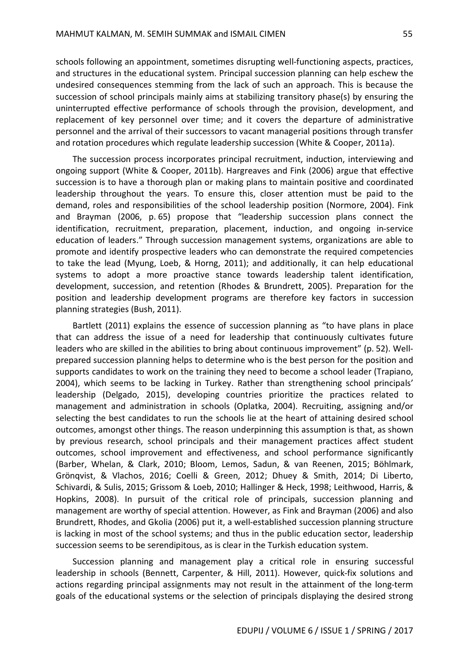schools following an appointment, sometimes disrupting well-functioning aspects, practices, and structures in the educational system. Principal succession planning can help eschew the undesired consequences stemming from the lack of such an approach. This is because the succession of school principals mainly aims at stabilizing transitory phase(s) by ensuring the uninterrupted effective performance of schools through the provision, development, and replacement of key personnel over time; and it covers the departure of administrative personnel and the arrival of their successors to vacant managerial positions through transfer and rotation procedures which regulate leadership succession (White & Cooper, 2011a).

The succession process incorporates principal recruitment, induction, interviewing and ongoing support (White & Cooper, 2011b). Hargreaves and Fink (2006) argue that effective succession is to have a thorough plan or making plans to maintain positive and coordinated leadership throughout the years. To ensure this, closer attention must be paid to the demand, roles and responsibilities of the school leadership position (Normore, 2004). Fink and Brayman (2006, p. 65) propose that "leadership succession plans connect the identification, recruitment, preparation, placement, induction, and ongoing in-service education of leaders." Through succession management systems, organizations are able to promote and identify prospective leaders who can demonstrate the required competencies to take the lead (Myung, Loeb, & Horng, 2011); and additionally, it can help educational systems to adopt a more proactive stance towards leadership talent identification, development, succession, and retention (Rhodes & Brundrett, 2005). Preparation for the position and leadership development programs are therefore key factors in succession planning strategies (Bush, 2011).

Bartlett (2011) explains the essence of succession planning as "to have plans in place that can address the issue of a need for leadership that continuously cultivates future leaders who are skilled in the abilities to bring about continuous improvement" (p. 52). Wellprepared succession planning helps to determine who is the best person for the position and supports candidates to work on the training they need to become a school leader (Trapiano, 2004), which seems to be lacking in Turkey. Rather than strengthening school principals' leadership (Delgado, 2015), developing countries prioritize the practices related to management and administration in schools (Oplatka, 2004). Recruiting, assigning and/or selecting the best candidates to run the schools lie at the heart of attaining desired school outcomes, amongst other things. The reason underpinning this assumption is that, as shown by previous research, school principals and their management practices affect student outcomes, school improvement and effectiveness, and school performance significantly (Barber, Whelan, & Clark, 2010; Bloom, Lemos, Sadun, & van Reenen, 2015; Böhlmark, Grönqvist, & Vlachos, 2016; Coelli & Green, 2012; Dhuey & Smith, 2014; Di Liberto, Schivardi, & Sulis, 2015; Grissom & Loeb, 2010; Hallinger & Heck, 1998; Leithwood, Harris, & Hopkins, 2008). In pursuit of the critical role of principals, succession planning and management are worthy of special attention. However, as Fink and Brayman (2006) and also Brundrett, Rhodes, and Gkolia (2006) put it, a well-established succession planning structure is lacking in most of the school systems; and thus in the public education sector, leadership succession seems to be serendipitous, as is clear in the Turkish education system.

Succession planning and management play a critical role in ensuring successful leadership in schools (Bennett, Carpenter, & Hill, 2011). However, quick-fix solutions and actions regarding principal assignments may not result in the attainment of the long-term goals of the educational systems or the selection of principals displaying the desired strong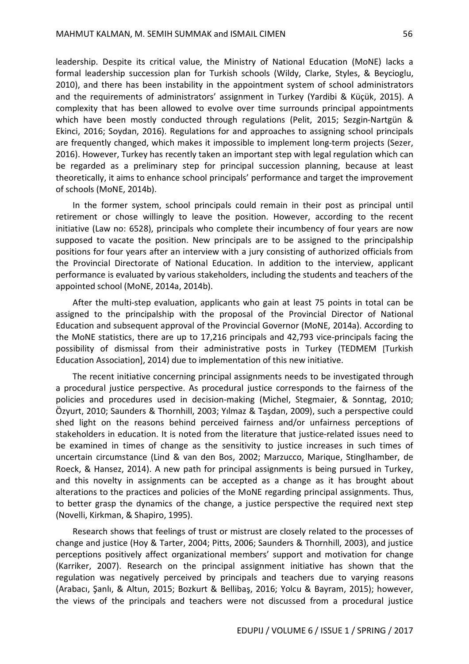leadership. Despite its critical value, the Ministry of National Education (MoNE) lacks a formal leadership succession plan for Turkish schools (Wildy, Clarke, Styles, & Beycioglu, 2010), and there has been instability in the appointment system of school administrators and the requirements of administrators' assignment in Turkey (Yardibi & Küçük, 2015). A complexity that has been allowed to evolve over time surrounds principal appointments which have been mostly conducted through regulations (Pelit, 2015; Sezgin-Nartgün & Ekinci, 2016; Soydan, 2016). Regulations for and approaches to assigning school principals are frequently changed, which makes it impossible to implement long-term projects (Sezer, 2016). However, Turkey has recently taken an important step with legal regulation which can be regarded as a preliminary step for principal succession planning, because at least theoretically, it aims to enhance school principals' performance and target the improvement of schools (MoNE, 2014b).

In the former system, school principals could remain in their post as principal until retirement or chose willingly to leave the position. However, according to the recent initiative (Law no: 6528), principals who complete their incumbency of four years are now supposed to vacate the position. New principals are to be assigned to the principalship positions for four years after an interview with a jury consisting of authorized officials from the Provincial Directorate of National Education. In addition to the interview, applicant performance is evaluated by various stakeholders, including the students and teachers of the appointed school (MoNE, 2014a, 2014b).

After the multi-step evaluation, applicants who gain at least 75 points in total can be assigned to the principalship with the proposal of the Provincial Director of National Education and subsequent approval of the Provincial Governor (MoNE, 2014a). According to the MoNE statistics, there are up to 17,216 principals and 42,793 vice-principals facing the possibility of dismissal from their administrative posts in Turkey (TEDMEM [Turkish Education Association], 2014) due to implementation of this new initiative.

The recent initiative concerning principal assignments needs to be investigated through a procedural justice perspective. As procedural justice corresponds to the fairness of the policies and procedures used in decision-making (Michel, Stegmaier, & Sonntag, 2010; Özyurt, 2010; Saunders & Thornhill, 2003; Yılmaz & Taşdan, 2009), such a perspective could shed light on the reasons behind perceived fairness and/or unfairness perceptions of stakeholders in education. It is noted from the literature that justice-related issues need to be examined in times of change as the sensitivity to justice increases in such times of uncertain circumstance (Lind & van den Bos, 2002; Marzucco, Marique, Stinglhamber, de Roeck, & Hansez, 2014). A new path for principal assignments is being pursued in Turkey, and this novelty in assignments can be accepted as a change as it has brought about alterations to the practices and policies of the MoNE regarding principal assignments. Thus, to better grasp the dynamics of the change, a justice perspective the required next step (Novelli, Kirkman, & Shapiro, 1995).

Research shows that feelings of trust or mistrust are closely related to the processes of change and justice (Hoy & Tarter, 2004; Pitts, 2006; Saunders & Thornhill, 2003), and justice perceptions positively affect organizational members' support and motivation for change (Karriker, 2007). Research on the principal assignment initiative has shown that the regulation was negatively perceived by principals and teachers due to varying reasons (Arabacı, Şanlı, & Altun, 2015; Bozkurt & Bellibaş, 2016; Yolcu & Bayram, 2015); however, the views of the principals and teachers were not discussed from a procedural justice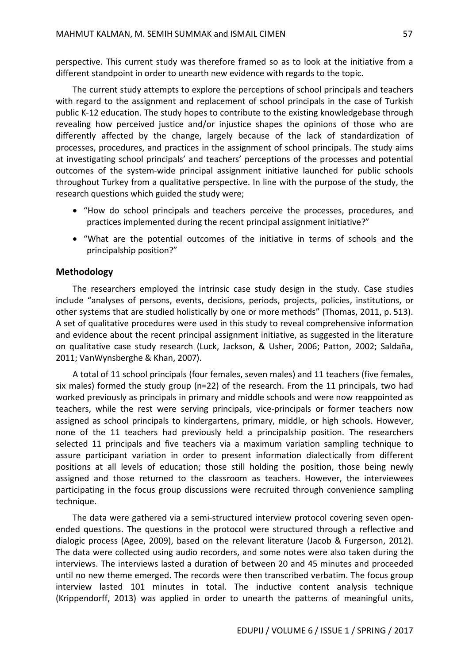perspective. This current study was therefore framed so as to look at the initiative from a different standpoint in order to unearth new evidence with regards to the topic.

The current study attempts to explore the perceptions of school principals and teachers with regard to the assignment and replacement of school principals in the case of Turkish public K-12 education. The study hopes to contribute to the existing knowledgebase through revealing how perceived justice and/or injustice shapes the opinions of those who are differently affected by the change, largely because of the lack of standardization of processes, procedures, and practices in the assignment of school principals. The study aims at investigating school principals' and teachers' perceptions of the processes and potential outcomes of the system-wide principal assignment initiative launched for public schools throughout Turkey from a qualitative perspective. In line with the purpose of the study, the research questions which guided the study were;

- "How do school principals and teachers perceive the processes, procedures, and practices implemented during the recent principal assignment initiative?"
- "What are the potential outcomes of the initiative in terms of schools and the principalship position?"

#### **Methodology**

The researchers employed the intrinsic case study design in the study. Case studies include "analyses of persons, events, decisions, periods, projects, policies, institutions, or other systems that are studied holistically by one or more methods" (Thomas, 2011, p. 513). A set of qualitative procedures were used in this study to reveal comprehensive information and evidence about the recent principal assignment initiative, as suggested in the literature on qualitative case study research (Luck, Jackson, & Usher, 2006; Patton, 2002; Saldaña, 2011; VanWynsberghe & Khan, 2007).

A total of 11 school principals (four females, seven males) and 11 teachers (five females, six males) formed the study group (n=22) of the research. From the 11 principals, two had worked previously as principals in primary and middle schools and were now reappointed as teachers, while the rest were serving principals, vice-principals or former teachers now assigned as school principals to kindergartens, primary, middle, or high schools. However, none of the 11 teachers had previously held a principalship position. The researchers selected 11 principals and five teachers via a maximum variation sampling technique to assure participant variation in order to present information dialectically from different positions at all levels of education; those still holding the position, those being newly assigned and those returned to the classroom as teachers. However, the interviewees participating in the focus group discussions were recruited through convenience sampling technique.

The data were gathered via a semi-structured interview protocol covering seven openended questions. The questions in the protocol were structured through a reflective and dialogic process (Agee, 2009), based on the relevant literature (Jacob & Furgerson, 2012). The data were collected using audio recorders, and some notes were also taken during the interviews. The interviews lasted a duration of between 20 and 45 minutes and proceeded until no new theme emerged. The records were then transcribed verbatim. The focus group interview lasted 101 minutes in total. The inductive content analysis technique (Krippendorff, 2013) was applied in order to unearth the patterns of meaningful units,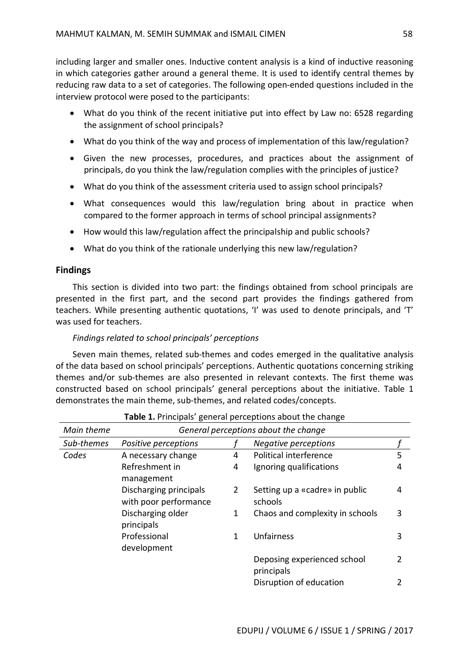including larger and smaller ones. Inductive content analysis is a kind of inductive reasoning in which categories gather around a general theme. It is used to identify central themes by reducing raw data to a set of categories. The following open-ended questions included in the interview protocol were posed to the participants:

- What do you think of the recent initiative put into effect by Law no: 6528 regarding the assignment of school principals?
- What do you think of the way and process of implementation of this law/regulation?
- Given the new processes, procedures, and practices about the assignment of principals, do you think the law/regulation complies with the principles of justice?
- What do you think of the assessment criteria used to assign school principals?
- What consequences would this law/regulation bring about in practice when compared to the former approach in terms of school principal assignments?
- How would this law/regulation affect the principalship and public schools?
- What do you think of the rationale underlying this new law/regulation?

## **Findings**

This section is divided into two part: the findings obtained from school principals are presented in the first part, and the second part provides the findings gathered from teachers. While presenting authentic quotations, 'I' was used to denote principals, and 'T' was used for teachers.

## *Findings related to school principals' perceptions*

Seven main themes, related sub-themes and codes emerged in the qualitative analysis of the data based on school principals' perceptions. Authentic quotations concerning striking themes and/or sub-themes are also presented in relevant contexts. The first theme was constructed based on school principals' general perceptions about the initiative. Table 1 demonstrates the main theme, sub-themes, and related codes/concepts.

| Main theme | General perceptions about the change            |                       |                                           |   |
|------------|-------------------------------------------------|-----------------------|-------------------------------------------|---|
| Sub-themes | Positive perceptions                            |                       | <b>Negative perceptions</b>               |   |
| Codes      | A necessary change                              | 4                     | Political interference                    | 5 |
|            | Refreshment in<br>management                    | 4                     | Ignoring qualifications                   | 4 |
|            | Discharging principals<br>with poor performance | $\mathbf{2}^{\prime}$ | Setting up a «cadre» in public<br>schools | 4 |
|            | Discharging older<br>principals                 | 1                     | Chaos and complexity in schools           | 3 |
|            | Professional<br>development                     | 1                     | Unfairness                                | 3 |
|            |                                                 |                       | Deposing experienced school<br>principals |   |
|            |                                                 |                       | Disruption of education                   |   |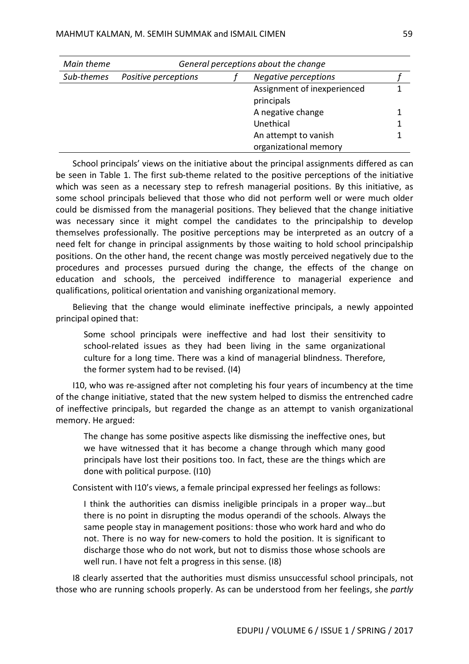| Main theme | General perceptions about the change                |  |                       |  |
|------------|-----------------------------------------------------|--|-----------------------|--|
| Sub-themes | <b>Negative perceptions</b><br>Positive perceptions |  |                       |  |
|            | Assignment of inexperienced                         |  |                       |  |
|            | principals                                          |  |                       |  |
|            | A negative change                                   |  |                       |  |
|            |                                                     |  | Unethical             |  |
|            |                                                     |  | An attempt to vanish  |  |
|            |                                                     |  | organizational memory |  |

School principals' views on the initiative about the principal assignments differed as can be seen in Table 1. The first sub-theme related to the positive perceptions of the initiative which was seen as a necessary step to refresh managerial positions. By this initiative, as some school principals believed that those who did not perform well or were much older could be dismissed from the managerial positions. They believed that the change initiative was necessary since it might compel the candidates to the principalship to develop themselves professionally. The positive perceptions may be interpreted as an outcry of a need felt for change in principal assignments by those waiting to hold school principalship positions. On the other hand, the recent change was mostly perceived negatively due to the procedures and processes pursued during the change, the effects of the change on education and schools, the perceived indifference to managerial experience and qualifications, political orientation and vanishing organizational memory.

Believing that the change would eliminate ineffective principals, a newly appointed principal opined that:

Some school principals were ineffective and had lost their sensitivity to school-related issues as they had been living in the same organizational culture for a long time. There was a kind of managerial blindness. Therefore, the former system had to be revised. (I4)

I10, who was re-assigned after not completing his four years of incumbency at the time of the change initiative, stated that the new system helped to dismiss the entrenched cadre of ineffective principals, but regarded the change as an attempt to vanish organizational memory. He argued:

The change has some positive aspects like dismissing the ineffective ones, but we have witnessed that it has become a change through which many good principals have lost their positions too. In fact, these are the things which are done with political purpose. (I10)

Consistent with I10's views, a female principal expressed her feelings as follows:

I think the authorities can dismiss ineligible principals in a proper way…but there is no point in disrupting the modus operandi of the schools. Always the same people stay in management positions: those who work hard and who do not. There is no way for new-comers to hold the position. It is significant to discharge those who do not work, but not to dismiss those whose schools are well run. I have not felt a progress in this sense. (I8)

I8 clearly asserted that the authorities must dismiss unsuccessful school principals, not those who are running schools properly. As can be understood from her feelings, she *partly*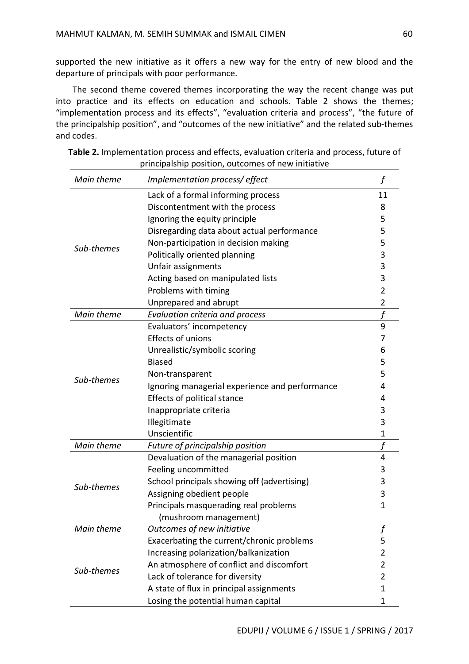supported the new initiative as it offers a new way for the entry of new blood and the departure of principals with poor performance.

The second theme covered themes incorporating the way the recent change was put into practice and its effects on education and schools. Table 2 shows the themes; "implementation process and its effects", "evaluation criteria and process", "the future of the principalship position", and "outcomes of the new initiative" and the related sub-themes and codes.

| Main theme | Implementation process/ effect                 | f              |
|------------|------------------------------------------------|----------------|
|            | Lack of a formal informing process             | 11             |
|            | Discontentment with the process                | 8              |
|            | Ignoring the equity principle                  | 5              |
|            | Disregarding data about actual performance     | 5              |
|            | Non-participation in decision making           | 5              |
| Sub-themes | Politically oriented planning                  | 3              |
|            | Unfair assignments                             | 3              |
|            | Acting based on manipulated lists              | 3              |
|            | Problems with timing                           | 2              |
|            | Unprepared and abrupt                          | 2              |
| Main theme | Evaluation criteria and process                |                |
|            | Evaluators' incompetency                       | 9              |
|            | Effects of unions                              | 7              |
|            | Unrealistic/symbolic scoring                   | 6              |
|            | <b>Biased</b>                                  | 5              |
| Sub-themes | Non-transparent                                | 5              |
|            | Ignoring managerial experience and performance | 4              |
|            | Effects of political stance                    | 4              |
|            | Inappropriate criteria                         | 3              |
|            | Illegitimate                                   | 3              |
|            | Unscientific                                   | 1              |
| Main theme | Future of principalship position               | $\mathbf f$    |
|            | Devaluation of the managerial position         | 4              |
|            | Feeling uncommitted                            | 3              |
| Sub-themes | School principals showing off (advertising)    | 3              |
|            | Assigning obedient people                      | 3              |
|            | Principals masquerading real problems          | $\mathbf{1}$   |
|            | (mushroom management)                          |                |
| Main theme | Outcomes of new initiative                     |                |
|            | Exacerbating the current/chronic problems      | 5              |
|            | Increasing polarization/balkanization          | 2              |
| Sub-themes | An atmosphere of conflict and discomfort       | 2              |
|            | Lack of tolerance for diversity                | $\overline{2}$ |
|            | A state of flux in principal assignments       |                |
|            | Losing the potential human capital             | 1              |

| Table 2. Implementation process and effects, evaluation criteria and process, future of |
|-----------------------------------------------------------------------------------------|
| principalship position, outcomes of new initiative                                      |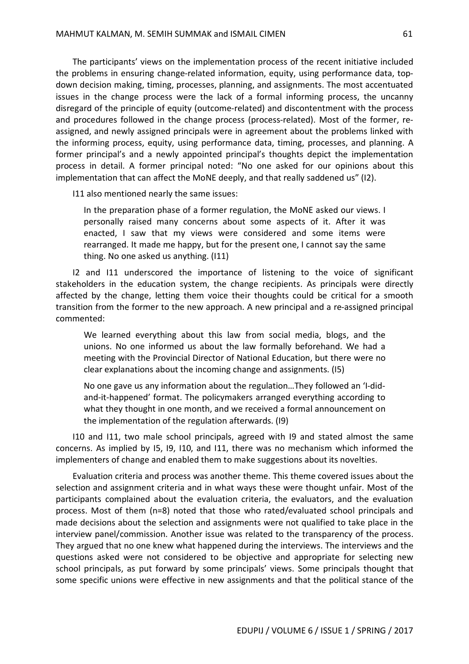The participants' views on the implementation process of the recent initiative included the problems in ensuring change-related information, equity, using performance data, topdown decision making, timing, processes, planning, and assignments. The most accentuated issues in the change process were the lack of a formal informing process, the uncanny disregard of the principle of equity (outcome-related) and discontentment with the process and procedures followed in the change process (process-related). Most of the former, reassigned, and newly assigned principals were in agreement about the problems linked with the informing process, equity, using performance data, timing, processes, and planning. A former principal's and a newly appointed principal's thoughts depict the implementation process in detail. A former principal noted: "No one asked for our opinions about this implementation that can affect the MoNE deeply, and that really saddened us" (I2).

I11 also mentioned nearly the same issues:

In the preparation phase of a former regulation, the MoNE asked our views. I personally raised many concerns about some aspects of it. After it was enacted, I saw that my views were considered and some items were rearranged. It made me happy, but for the present one, I cannot say the same thing. No one asked us anything. (I11)

I2 and I11 underscored the importance of listening to the voice of significant stakeholders in the education system, the change recipients. As principals were directly affected by the change, letting them voice their thoughts could be critical for a smooth transition from the former to the new approach. A new principal and a re-assigned principal commented:

We learned everything about this law from social media, blogs, and the unions. No one informed us about the law formally beforehand. We had a meeting with the Provincial Director of National Education, but there were no clear explanations about the incoming change and assignments. (I5)

No one gave us any information about the regulation…They followed an 'I-didand-it-happened' format. The policymakers arranged everything according to what they thought in one month, and we received a formal announcement on the implementation of the regulation afterwards. (I9)

I10 and I11, two male school principals, agreed with I9 and stated almost the same concerns. As implied by I5, I9, I10, and I11, there was no mechanism which informed the implementers of change and enabled them to make suggestions about its novelties.

Evaluation criteria and process was another theme. This theme covered issues about the selection and assignment criteria and in what ways these were thought unfair. Most of the participants complained about the evaluation criteria, the evaluators, and the evaluation process. Most of them (n=8) noted that those who rated/evaluated school principals and made decisions about the selection and assignments were not qualified to take place in the interview panel/commission. Another issue was related to the transparency of the process. They argued that no one knew what happened during the interviews. The interviews and the questions asked were not considered to be objective and appropriate for selecting new school principals, as put forward by some principals' views. Some principals thought that some specific unions were effective in new assignments and that the political stance of the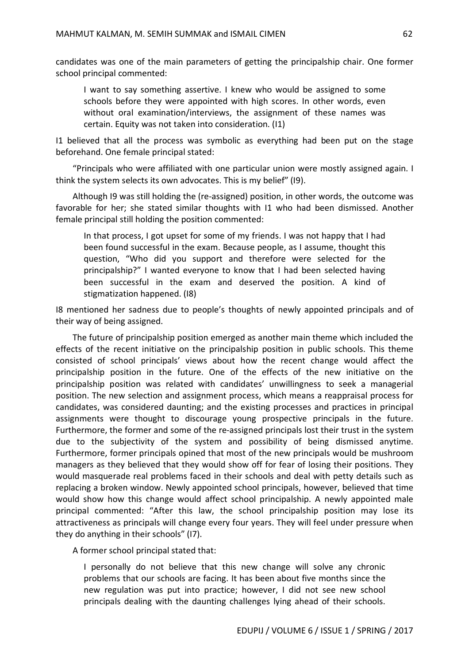candidates was one of the main parameters of getting the principalship chair. One former school principal commented:

I want to say something assertive. I knew who would be assigned to some schools before they were appointed with high scores. In other words, even without oral examination/interviews, the assignment of these names was certain. Equity was not taken into consideration. (I1)

I1 believed that all the process was symbolic as everything had been put on the stage beforehand. One female principal stated:

"Principals who were affiliated with one particular union were mostly assigned again. I think the system selects its own advocates. This is my belief" (I9).

Although I9 was still holding the (re-assigned) position, in other words, the outcome was favorable for her; she stated similar thoughts with I1 who had been dismissed. Another female principal still holding the position commented:

In that process, I got upset for some of my friends. I was not happy that I had been found successful in the exam. Because people, as I assume, thought this question, "Who did you support and therefore were selected for the principalship?" I wanted everyone to know that I had been selected having been successful in the exam and deserved the position. A kind of stigmatization happened. (I8)

I8 mentioned her sadness due to people's thoughts of newly appointed principals and of their way of being assigned.

The future of principalship position emerged as another main theme which included the effects of the recent initiative on the principalship position in public schools. This theme consisted of school principals' views about how the recent change would affect the principalship position in the future. One of the effects of the new initiative on the principalship position was related with candidates' unwillingness to seek a managerial position. The new selection and assignment process, which means a reappraisal process for candidates, was considered daunting; and the existing processes and practices in principal assignments were thought to discourage young prospective principals in the future. Furthermore, the former and some of the re-assigned principals lost their trust in the system due to the subjectivity of the system and possibility of being dismissed anytime. Furthermore, former principals opined that most of the new principals would be mushroom managers as they believed that they would show off for fear of losing their positions. They would masquerade real problems faced in their schools and deal with petty details such as replacing a broken window. Newly appointed school principals, however, believed that time would show how this change would affect school principalship. A newly appointed male principal commented: "After this law, the school principalship position may lose its attractiveness as principals will change every four years. They will feel under pressure when they do anything in their schools" (I7).

A former school principal stated that:

I personally do not believe that this new change will solve any chronic problems that our schools are facing. It has been about five months since the new regulation was put into practice; however, I did not see new school principals dealing with the daunting challenges lying ahead of their schools.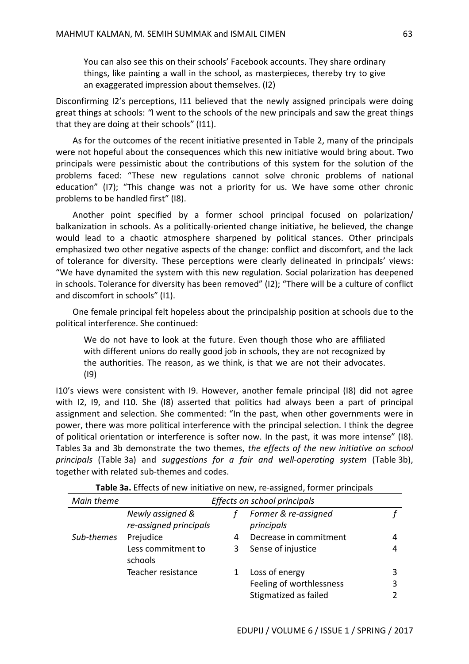You can also see this on their schools' Facebook accounts. They share ordinary things, like painting a wall in the school, as masterpieces, thereby try to give an exaggerated impression about themselves. (I2)

Disconfirming I2's perceptions, I11 believed that the newly assigned principals were doing great things at schools: *"*I went to the schools of the new principals and saw the great things that they are doing at their schools" (I11).

As for the outcomes of the recent initiative presented in Table 2, many of the principals were not hopeful about the consequences which this new initiative would bring about. Two principals were pessimistic about the contributions of this system for the solution of the problems faced: "These new regulations cannot solve chronic problems of national education" (I7); "This change was not a priority for us. We have some other chronic problems to be handled first" (I8).

Another point specified by a former school principal focused on polarization/ balkanization in schools. As a politically-oriented change initiative, he believed, the change would lead to a chaotic atmosphere sharpened by political stances. Other principals emphasized two other negative aspects of the change: conflict and discomfort, and the lack of tolerance for diversity. These perceptions were clearly delineated in principals' views: "We have dynamited the system with this new regulation. Social polarization has deepened in schools. Tolerance for diversity has been removed" (I2); "There will be a culture of conflict and discomfort in schools" (I1).

One female principal felt hopeless about the principalship position at schools due to the political interference. She continued:

We do not have to look at the future. Even though those who are affiliated with different unions do really good job in schools, they are not recognized by the authorities. The reason, as we think, is that we are not their advocates. (I9)

I10's views were consistent with I9. However, another female principal (I8) did not agree with I2, I9, and I10. She (I8) asserted that politics had always been a part of principal assignment and selection. She commented: "In the past, when other governments were in power, there was more political interference with the principal selection. I think the degree of political orientation or interference is softer now. In the past, it was more intense" (I8). Tables 3a and 3b demonstrate the two themes, *the effects of the new initiative on school principals* (Table 3a) and *suggestions for a fair and well-operating system* (Table 3b), together with related sub-themes and codes.

| Main theme | Effects on school principals               |   |                                    |  |
|------------|--------------------------------------------|---|------------------------------------|--|
|            | Newly assigned &<br>re-assigned principals |   | Former & re-assigned<br>principals |  |
| Sub-themes | Prejudice                                  | 4 | Decrease in commitment             |  |
|            | Less commitment to<br>schools              | 3 | Sense of injustice                 |  |
|            | Teacher resistance                         |   | Loss of energy                     |  |
|            |                                            |   | Feeling of worthlessness           |  |
|            |                                            |   | Stigmatized as failed              |  |

**Table 3a.** Effects of new initiative on new, re-assigned, former principals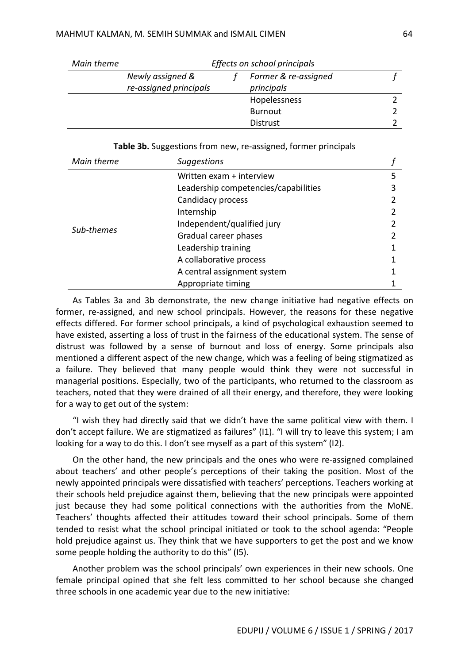| Main theme | Effects on school principals             |  |                 |  |
|------------|------------------------------------------|--|-----------------|--|
|            | Newly assigned &<br>Former & re-assigned |  |                 |  |
|            | re-assigned principals                   |  | principals      |  |
|            |                                          |  | Hopelessness    |  |
|            |                                          |  | Burnout         |  |
|            |                                          |  | <b>Distrust</b> |  |

| Table 3b. Suggestions from new, re-assigned, former principals |                                      |   |  |  |
|----------------------------------------------------------------|--------------------------------------|---|--|--|
| Main theme                                                     | <b>Suggestions</b>                   |   |  |  |
|                                                                | Written exam + interview             | 5 |  |  |
|                                                                | Leadership competencies/capabilities | 3 |  |  |
|                                                                | Candidacy process                    |   |  |  |
|                                                                | Internship                           |   |  |  |
|                                                                | Independent/qualified jury           |   |  |  |
| Sub-themes                                                     | Gradual career phases                |   |  |  |
|                                                                | Leadership training                  |   |  |  |
|                                                                | A collaborative process              |   |  |  |
|                                                                | A central assignment system          |   |  |  |
|                                                                | Appropriate timing                   |   |  |  |

As Tables 3a and 3b demonstrate, the new change initiative had negative effects on former, re-assigned, and new school principals. However, the reasons for these negative effects differed. For former school principals, a kind of psychological exhaustion seemed to have existed, asserting a loss of trust in the fairness of the educational system. The sense of distrust was followed by a sense of burnout and loss of energy. Some principals also mentioned a different aspect of the new change, which was a feeling of being stigmatized as a failure. They believed that many people would think they were not successful in managerial positions. Especially, two of the participants, who returned to the classroom as teachers, noted that they were drained of all their energy, and therefore, they were looking for a way to get out of the system:

"I wish they had directly said that we didn't have the same political view with them. I don't accept failure. We are stigmatized as failures" (I1). "I will try to leave this system; I am looking for a way to do this. I don't see myself as a part of this system" (I2).

On the other hand, the new principals and the ones who were re-assigned complained about teachers' and other people's perceptions of their taking the position. Most of the newly appointed principals were dissatisfied with teachers' perceptions. Teachers working at their schools held prejudice against them, believing that the new principals were appointed just because they had some political connections with the authorities from the MoNE. Teachers' thoughts affected their attitudes toward their school principals. Some of them tended to resist what the school principal initiated or took to the school agenda: "People hold prejudice against us. They think that we have supporters to get the post and we know some people holding the authority to do this" (I5).

Another problem was the school principals' own experiences in their new schools. One female principal opined that she felt less committed to her school because she changed three schools in one academic year due to the new initiative: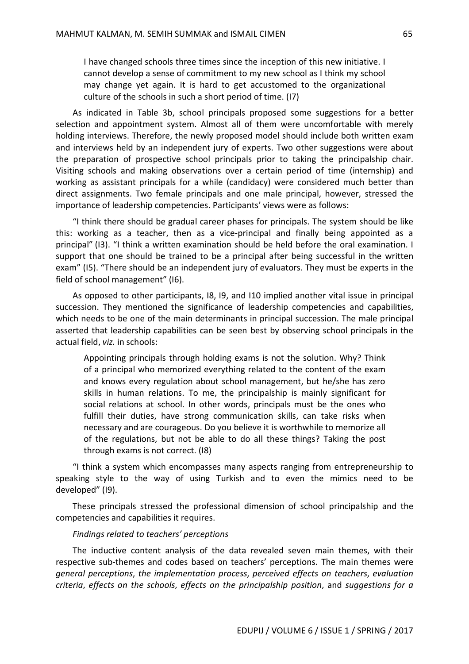I have changed schools three times since the inception of this new initiative. I cannot develop a sense of commitment to my new school as I think my school may change yet again. It is hard to get accustomed to the organizational culture of the schools in such a short period of time. (I7)

As indicated in Table 3b, school principals proposed some suggestions for a better selection and appointment system. Almost all of them were uncomfortable with merely holding interviews. Therefore, the newly proposed model should include both written exam and interviews held by an independent jury of experts. Two other suggestions were about the preparation of prospective school principals prior to taking the principalship chair. Visiting schools and making observations over a certain period of time (internship) and working as assistant principals for a while (candidacy) were considered much better than direct assignments. Two female principals and one male principal, however, stressed the importance of leadership competencies. Participants' views were as follows:

"I think there should be gradual career phases for principals. The system should be like this: working as a teacher, then as a vice-principal and finally being appointed as a principal" (I3). "I think a written examination should be held before the oral examination. I support that one should be trained to be a principal after being successful in the written exam" (I5). "There should be an independent jury of evaluators. They must be experts in the field of school management" (I6).

As opposed to other participants, I8, I9, and I10 implied another vital issue in principal succession. They mentioned the significance of leadership competencies and capabilities, which needs to be one of the main determinants in principal succession. The male principal asserted that leadership capabilities can be seen best by observing school principals in the actual field, *viz.* in schools:

Appointing principals through holding exams is not the solution. Why? Think of a principal who memorized everything related to the content of the exam and knows every regulation about school management, but he/she has zero skills in human relations. To me, the principalship is mainly significant for social relations at school. In other words, principals must be the ones who fulfill their duties, have strong communication skills, can take risks when necessary and are courageous. Do you believe it is worthwhile to memorize all of the regulations, but not be able to do all these things? Taking the post through exams is not correct. (I8)

"I think a system which encompasses many aspects ranging from entrepreneurship to speaking style to the way of using Turkish and to even the mimics need to be developed" (I9).

These principals stressed the professional dimension of school principalship and the competencies and capabilities it requires.

## *Findings related to teachers' perceptions*

The inductive content analysis of the data revealed seven main themes, with their respective sub-themes and codes based on teachers' perceptions. The main themes were *general perceptions*, *the implementation process*, *perceived effects on teachers*, *evaluation criteria*, *effects on the schools*, *effects on the principalship position*, and *suggestions for a*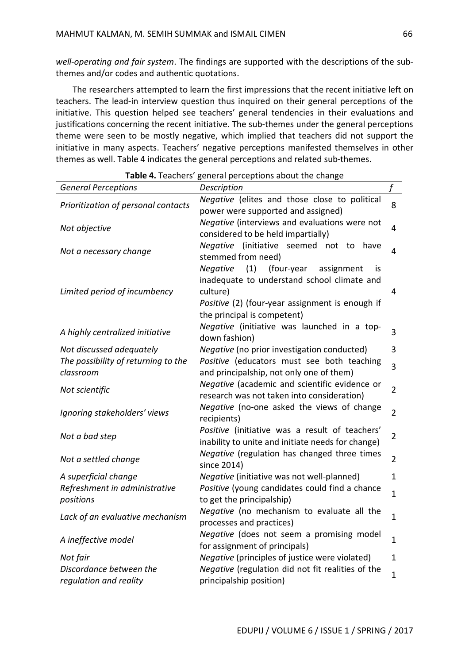*well-operating and fair system*. The findings are supported with the descriptions of the subthemes and/or codes and authentic quotations.

The researchers attempted to learn the first impressions that the recent initiative left on teachers. The lead-in interview question thus inquired on their general perceptions of the initiative. This question helped see teachers' general tendencies in their evaluations and justifications concerning the recent initiative. The sub-themes under the general perceptions theme were seen to be mostly negative, which implied that teachers did not support the initiative in many aspects. Teachers' negative perceptions manifested themselves in other themes as well. Table 4 indicates the general perceptions and related sub-themes.

| Description<br><b>General Perceptions</b><br>Negative (elites and those close to political<br>8<br>Prioritization of personal contacts<br>power were supported and assigned)<br>Negative (interviews and evaluations were not<br>$\overline{4}$<br>Not objective<br>considered to be held impartially)<br>(initiative seemed not to<br><b>Negative</b><br>have<br>4<br>Not a necessary change<br>stemmed from need)<br>(1)<br>(four-year<br>Negative<br>assignment<br><b>is</b><br>inadequate to understand school climate and<br>culture)<br>Limited period of incumbency<br>4<br>Positive (2) (four-year assignment is enough if<br>the principal is competent)<br>Negative (initiative was launched in a top-<br>3<br>A highly centralized initiative<br>down fashion)<br>Negative (no prior investigation conducted)<br>3<br>Not discussed adequately<br>The possibility of returning to the<br>Positive (educators must see both teaching<br>$\overline{3}$<br>and principalship, not only one of them)<br>classroom<br>Negative (academic and scientific evidence or<br>$\overline{2}$<br>Not scientific<br>research was not taken into consideration)<br>Negative (no-one asked the views of change<br>$\overline{2}$<br>Ignoring stakeholders' views<br>recipients)<br>Positive (initiative was a result of teachers'<br>$\overline{2}$<br>Not a bad step<br>inability to unite and initiate needs for change)<br>Negative (regulation has changed three times<br>$\overline{2}$<br>Not a settled change<br>since 2014)<br>Negative (initiative was not well-planned)<br>$\mathbf{1}$<br>A superficial change<br>Refreshment in administrative<br>Positive (young candidates could find a chance<br>$\mathbf{1}$<br>to get the principalship)<br>positions<br>Negative (no mechanism to evaluate all the<br>$\mathbf{1}$<br>Lack of an evaluative mechanism<br>processes and practices)<br>Negative (does not seem a promising model<br>$\mathbf{1}$<br>A ineffective model<br>for assignment of principals)<br>Negative (principles of justice were violated)<br>Not fair<br>$\mathbf{1}$<br>Discordance between the<br>Negative (regulation did not fit realities of the<br>$\mathbf{1}$<br>regulation and reality<br>principalship position) | 101011110011010 | Beneral perceptions about the change |             |
|---------------------------------------------------------------------------------------------------------------------------------------------------------------------------------------------------------------------------------------------------------------------------------------------------------------------------------------------------------------------------------------------------------------------------------------------------------------------------------------------------------------------------------------------------------------------------------------------------------------------------------------------------------------------------------------------------------------------------------------------------------------------------------------------------------------------------------------------------------------------------------------------------------------------------------------------------------------------------------------------------------------------------------------------------------------------------------------------------------------------------------------------------------------------------------------------------------------------------------------------------------------------------------------------------------------------------------------------------------------------------------------------------------------------------------------------------------------------------------------------------------------------------------------------------------------------------------------------------------------------------------------------------------------------------------------------------------------------------------------------------------------------------------------------------------------------------------------------------------------------------------------------------------------------------------------------------------------------------------------------------------------------------------------------------------------------------------------------------------------------------------------------------------------------------------------------------------------------------------------------------------|-----------------|--------------------------------------|-------------|
|                                                                                                                                                                                                                                                                                                                                                                                                                                                                                                                                                                                                                                                                                                                                                                                                                                                                                                                                                                                                                                                                                                                                                                                                                                                                                                                                                                                                                                                                                                                                                                                                                                                                                                                                                                                                                                                                                                                                                                                                                                                                                                                                                                                                                                                         |                 |                                      | $\mathbf f$ |
|                                                                                                                                                                                                                                                                                                                                                                                                                                                                                                                                                                                                                                                                                                                                                                                                                                                                                                                                                                                                                                                                                                                                                                                                                                                                                                                                                                                                                                                                                                                                                                                                                                                                                                                                                                                                                                                                                                                                                                                                                                                                                                                                                                                                                                                         |                 |                                      |             |
|                                                                                                                                                                                                                                                                                                                                                                                                                                                                                                                                                                                                                                                                                                                                                                                                                                                                                                                                                                                                                                                                                                                                                                                                                                                                                                                                                                                                                                                                                                                                                                                                                                                                                                                                                                                                                                                                                                                                                                                                                                                                                                                                                                                                                                                         |                 |                                      |             |
|                                                                                                                                                                                                                                                                                                                                                                                                                                                                                                                                                                                                                                                                                                                                                                                                                                                                                                                                                                                                                                                                                                                                                                                                                                                                                                                                                                                                                                                                                                                                                                                                                                                                                                                                                                                                                                                                                                                                                                                                                                                                                                                                                                                                                                                         |                 |                                      |             |
|                                                                                                                                                                                                                                                                                                                                                                                                                                                                                                                                                                                                                                                                                                                                                                                                                                                                                                                                                                                                                                                                                                                                                                                                                                                                                                                                                                                                                                                                                                                                                                                                                                                                                                                                                                                                                                                                                                                                                                                                                                                                                                                                                                                                                                                         |                 |                                      |             |
|                                                                                                                                                                                                                                                                                                                                                                                                                                                                                                                                                                                                                                                                                                                                                                                                                                                                                                                                                                                                                                                                                                                                                                                                                                                                                                                                                                                                                                                                                                                                                                                                                                                                                                                                                                                                                                                                                                                                                                                                                                                                                                                                                                                                                                                         |                 |                                      |             |
|                                                                                                                                                                                                                                                                                                                                                                                                                                                                                                                                                                                                                                                                                                                                                                                                                                                                                                                                                                                                                                                                                                                                                                                                                                                                                                                                                                                                                                                                                                                                                                                                                                                                                                                                                                                                                                                                                                                                                                                                                                                                                                                                                                                                                                                         |                 |                                      |             |
|                                                                                                                                                                                                                                                                                                                                                                                                                                                                                                                                                                                                                                                                                                                                                                                                                                                                                                                                                                                                                                                                                                                                                                                                                                                                                                                                                                                                                                                                                                                                                                                                                                                                                                                                                                                                                                                                                                                                                                                                                                                                                                                                                                                                                                                         |                 |                                      |             |
|                                                                                                                                                                                                                                                                                                                                                                                                                                                                                                                                                                                                                                                                                                                                                                                                                                                                                                                                                                                                                                                                                                                                                                                                                                                                                                                                                                                                                                                                                                                                                                                                                                                                                                                                                                                                                                                                                                                                                                                                                                                                                                                                                                                                                                                         |                 |                                      |             |
|                                                                                                                                                                                                                                                                                                                                                                                                                                                                                                                                                                                                                                                                                                                                                                                                                                                                                                                                                                                                                                                                                                                                                                                                                                                                                                                                                                                                                                                                                                                                                                                                                                                                                                                                                                                                                                                                                                                                                                                                                                                                                                                                                                                                                                                         |                 |                                      |             |
|                                                                                                                                                                                                                                                                                                                                                                                                                                                                                                                                                                                                                                                                                                                                                                                                                                                                                                                                                                                                                                                                                                                                                                                                                                                                                                                                                                                                                                                                                                                                                                                                                                                                                                                                                                                                                                                                                                                                                                                                                                                                                                                                                                                                                                                         |                 |                                      |             |
|                                                                                                                                                                                                                                                                                                                                                                                                                                                                                                                                                                                                                                                                                                                                                                                                                                                                                                                                                                                                                                                                                                                                                                                                                                                                                                                                                                                                                                                                                                                                                                                                                                                                                                                                                                                                                                                                                                                                                                                                                                                                                                                                                                                                                                                         |                 |                                      |             |
|                                                                                                                                                                                                                                                                                                                                                                                                                                                                                                                                                                                                                                                                                                                                                                                                                                                                                                                                                                                                                                                                                                                                                                                                                                                                                                                                                                                                                                                                                                                                                                                                                                                                                                                                                                                                                                                                                                                                                                                                                                                                                                                                                                                                                                                         |                 |                                      |             |
|                                                                                                                                                                                                                                                                                                                                                                                                                                                                                                                                                                                                                                                                                                                                                                                                                                                                                                                                                                                                                                                                                                                                                                                                                                                                                                                                                                                                                                                                                                                                                                                                                                                                                                                                                                                                                                                                                                                                                                                                                                                                                                                                                                                                                                                         |                 |                                      |             |
|                                                                                                                                                                                                                                                                                                                                                                                                                                                                                                                                                                                                                                                                                                                                                                                                                                                                                                                                                                                                                                                                                                                                                                                                                                                                                                                                                                                                                                                                                                                                                                                                                                                                                                                                                                                                                                                                                                                                                                                                                                                                                                                                                                                                                                                         |                 |                                      |             |
|                                                                                                                                                                                                                                                                                                                                                                                                                                                                                                                                                                                                                                                                                                                                                                                                                                                                                                                                                                                                                                                                                                                                                                                                                                                                                                                                                                                                                                                                                                                                                                                                                                                                                                                                                                                                                                                                                                                                                                                                                                                                                                                                                                                                                                                         |                 |                                      |             |
|                                                                                                                                                                                                                                                                                                                                                                                                                                                                                                                                                                                                                                                                                                                                                                                                                                                                                                                                                                                                                                                                                                                                                                                                                                                                                                                                                                                                                                                                                                                                                                                                                                                                                                                                                                                                                                                                                                                                                                                                                                                                                                                                                                                                                                                         |                 |                                      |             |
|                                                                                                                                                                                                                                                                                                                                                                                                                                                                                                                                                                                                                                                                                                                                                                                                                                                                                                                                                                                                                                                                                                                                                                                                                                                                                                                                                                                                                                                                                                                                                                                                                                                                                                                                                                                                                                                                                                                                                                                                                                                                                                                                                                                                                                                         |                 |                                      |             |

| Table 4. Teachers' general perceptions about the change |  |  |  |  |
|---------------------------------------------------------|--|--|--|--|
|---------------------------------------------------------|--|--|--|--|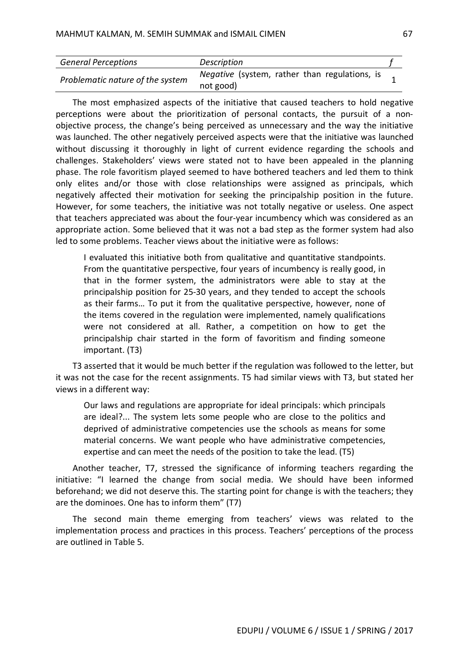| <b>General Perceptions</b>       | Description                                   |  |
|----------------------------------|-----------------------------------------------|--|
| Problematic nature of the system | Negative (system, rather than regulations, is |  |
|                                  | not good)                                     |  |

The most emphasized aspects of the initiative that caused teachers to hold negative perceptions were about the prioritization of personal contacts, the pursuit of a nonobjective process, the change's being perceived as unnecessary and the way the initiative was launched. The other negatively perceived aspects were that the initiative was launched without discussing it thoroughly in light of current evidence regarding the schools and challenges. Stakeholders' views were stated not to have been appealed in the planning phase. The role favoritism played seemed to have bothered teachers and led them to think only elites and/or those with close relationships were assigned as principals, which negatively affected their motivation for seeking the principalship position in the future. However, for some teachers, the initiative was not totally negative or useless. One aspect that teachers appreciated was about the four-year incumbency which was considered as an appropriate action. Some believed that it was not a bad step as the former system had also led to some problems. Teacher views about the initiative were as follows:

I evaluated this initiative both from qualitative and quantitative standpoints. From the quantitative perspective, four years of incumbency is really good, in that in the former system, the administrators were able to stay at the principalship position for 25-30 years, and they tended to accept the schools as their farms… To put it from the qualitative perspective, however, none of the items covered in the regulation were implemented, namely qualifications were not considered at all. Rather, a competition on how to get the principalship chair started in the form of favoritism and finding someone important. (T3)

T3 asserted that it would be much better if the regulation was followed to the letter, but it was not the case for the recent assignments. T5 had similar views with T3, but stated her views in a different way:

Our laws and regulations are appropriate for ideal principals: which principals are ideal?... The system lets some people who are close to the politics and deprived of administrative competencies use the schools as means for some material concerns. We want people who have administrative competencies, expertise and can meet the needs of the position to take the lead. (T5)

Another teacher, T7, stressed the significance of informing teachers regarding the initiative: "I learned the change from social media. We should have been informed beforehand; we did not deserve this. The starting point for change is with the teachers; they are the dominoes. One has to inform them" (T7)

The second main theme emerging from teachers' views was related to the implementation process and practices in this process. Teachers' perceptions of the process are outlined in Table 5.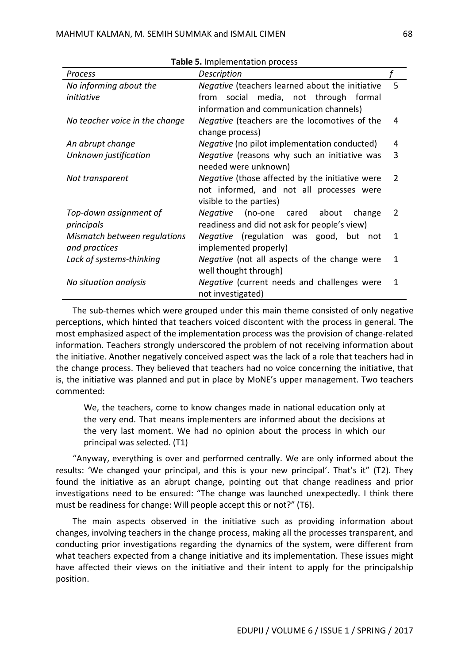| . p.ccao p. occoc                                   |                                                                                                                                                                                         |  |  |  |  |
|-----------------------------------------------------|-----------------------------------------------------------------------------------------------------------------------------------------------------------------------------------------|--|--|--|--|
| Description                                         |                                                                                                                                                                                         |  |  |  |  |
| Negative (teachers learned about the initiative     | 5                                                                                                                                                                                       |  |  |  |  |
| from social media, not through formal               |                                                                                                                                                                                         |  |  |  |  |
| information and communication channels)             |                                                                                                                                                                                         |  |  |  |  |
| Negative (teachers are the locomotives of the       | 4                                                                                                                                                                                       |  |  |  |  |
| change process)                                     |                                                                                                                                                                                         |  |  |  |  |
| <i>Negative</i> (no pilot implementation conducted) | 4                                                                                                                                                                                       |  |  |  |  |
| Negative (reasons why such an initiative was        | 3                                                                                                                                                                                       |  |  |  |  |
| needed were unknown)                                |                                                                                                                                                                                         |  |  |  |  |
| Negative (those affected by the initiative were     | $\overline{2}$                                                                                                                                                                          |  |  |  |  |
| not informed, and not all processes were            |                                                                                                                                                                                         |  |  |  |  |
| visible to the parties)                             |                                                                                                                                                                                         |  |  |  |  |
| Negative (no-one cared about<br>change              | 2                                                                                                                                                                                       |  |  |  |  |
| readiness and did not ask for people's view)        |                                                                                                                                                                                         |  |  |  |  |
|                                                     | 1                                                                                                                                                                                       |  |  |  |  |
|                                                     |                                                                                                                                                                                         |  |  |  |  |
|                                                     | 1                                                                                                                                                                                       |  |  |  |  |
|                                                     |                                                                                                                                                                                         |  |  |  |  |
|                                                     | 1                                                                                                                                                                                       |  |  |  |  |
| not investigated)                                   |                                                                                                                                                                                         |  |  |  |  |
|                                                     | Negative (regulation was good, but not<br>implemented properly)<br>Negative (not all aspects of the change were<br>well thought through)<br>Negative (current needs and challenges were |  |  |  |  |

**Table 5.** Implementation process

The sub-themes which were grouped under this main theme consisted of only negative perceptions, which hinted that teachers voiced discontent with the process in general. The most emphasized aspect of the implementation process was the provision of change-related information. Teachers strongly underscored the problem of not receiving information about the initiative. Another negatively conceived aspect was the lack of a role that teachers had in the change process. They believed that teachers had no voice concerning the initiative, that is, the initiative was planned and put in place by MoNE's upper management. Two teachers commented:

We, the teachers, come to know changes made in national education only at the very end. That means implementers are informed about the decisions at the very last moment. We had no opinion about the process in which our principal was selected. (T1)

"Anyway, everything is over and performed centrally. We are only informed about the results: 'We changed your principal, and this is your new principal'. That's it" (T2). They found the initiative as an abrupt change, pointing out that change readiness and prior investigations need to be ensured: "The change was launched unexpectedly. I think there must be readiness for change: Will people accept this or not?" (T6).

The main aspects observed in the initiative such as providing information about changes, involving teachers in the change process, making all the processes transparent, and conducting prior investigations regarding the dynamics of the system, were different from what teachers expected from a change initiative and its implementation. These issues might have affected their views on the initiative and their intent to apply for the principalship position.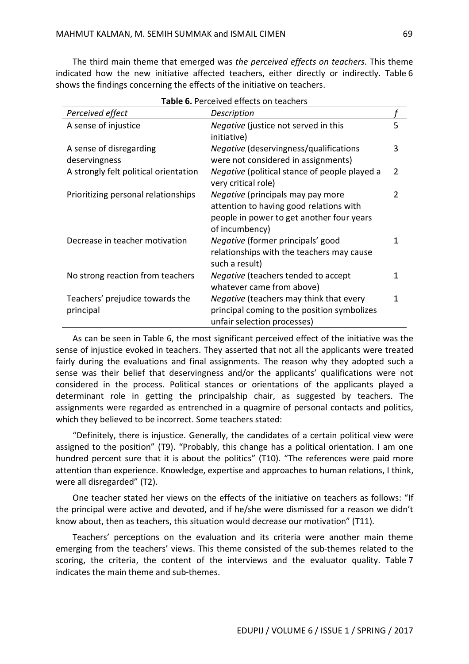The third main theme that emerged was *the perceived effects on teachers*. This theme indicated how the new initiative affected teachers, either directly or indirectly. Table 6 shows the findings concerning the effects of the initiative on teachers.

| <b>I ADIC O.</b> I CILCIVCU CHECLS OII LEACHEIS |                                                |                |  |
|-------------------------------------------------|------------------------------------------------|----------------|--|
| Perceived effect                                | Description                                    |                |  |
| A sense of injustice                            | <i>Negative</i> (justice not served in this    | 5              |  |
|                                                 | initiative)                                    |                |  |
| A sense of disregarding                         | <i>Negative</i> (deservingness/qualifications  | 3              |  |
| deservingness                                   | were not considered in assignments)            |                |  |
| A strongly felt political orientation           | Negative (political stance of people played a  | $\overline{2}$ |  |
|                                                 | very critical role)                            |                |  |
| Prioritizing personal relationships             | Negative (principals may pay more              | 2              |  |
|                                                 | attention to having good relations with        |                |  |
|                                                 | people in power to get another four years      |                |  |
|                                                 | of incumbency)                                 |                |  |
| Decrease in teacher motivation                  | Negative (former principals' good              | 1              |  |
|                                                 | relationships with the teachers may cause      |                |  |
|                                                 | such a result)                                 |                |  |
| No strong reaction from teachers                | Negative (teachers tended to accept            | 1              |  |
|                                                 | whatever came from above)                      |                |  |
| Teachers' prejudice towards the                 | <i>Negative</i> (teachers may think that every | 1              |  |
| principal                                       | principal coming to the position symbolizes    |                |  |
|                                                 | unfair selection processes)                    |                |  |

**Table 6.** Perceived effects on teachers

As can be seen in Table 6, the most significant perceived effect of the initiative was the sense of injustice evoked in teachers. They asserted that not all the applicants were treated fairly during the evaluations and final assignments. The reason why they adopted such a sense was their belief that deservingness and/or the applicants' qualifications were not considered in the process. Political stances or orientations of the applicants played a determinant role in getting the principalship chair, as suggested by teachers. The assignments were regarded as entrenched in a quagmire of personal contacts and politics, which they believed to be incorrect. Some teachers stated:

"Definitely, there is injustice. Generally, the candidates of a certain political view were assigned to the position" (T9). "Probably, this change has a political orientation. I am one hundred percent sure that it is about the politics" (T10). "The references were paid more attention than experience. Knowledge, expertise and approaches to human relations, I think, were all disregarded" (T2).

One teacher stated her views on the effects of the initiative on teachers as follows: "If the principal were active and devoted, and if he/she were dismissed for a reason we didn't know about, then as teachers, this situation would decrease our motivation" (T11).

Teachers' perceptions on the evaluation and its criteria were another main theme emerging from the teachers' views. This theme consisted of the sub-themes related to the scoring, the criteria, the content of the interviews and the evaluator quality. Table 7 indicates the main theme and sub-themes.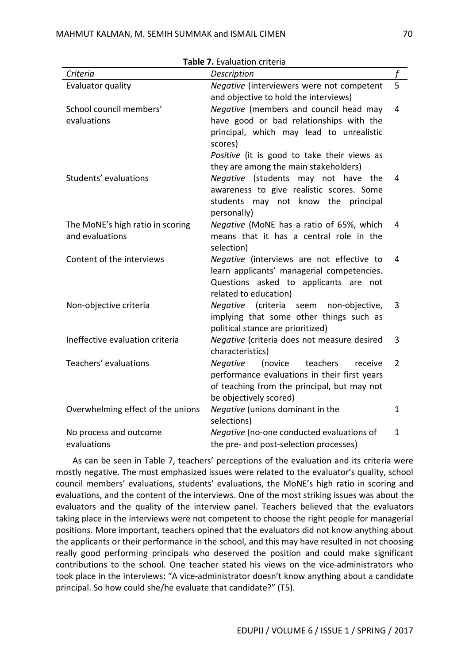| <b>Table 7.</b> Evaluation criteria |                                                 |                |
|-------------------------------------|-------------------------------------------------|----------------|
| Criteria                            | Description                                     |                |
| Evaluator quality                   | Negative (interviewers were not competent       | 5              |
|                                     | and objective to hold the interviews)           |                |
| School council members'             | Negative (members and council head may          | 4              |
| evaluations                         | have good or bad relationships with the         |                |
|                                     | principal, which may lead to unrealistic        |                |
|                                     | scores)                                         |                |
|                                     | Positive (it is good to take their views as     |                |
|                                     | they are among the main stakeholders)           |                |
| Students' evaluations               | Negative (students may not have the             | 4              |
|                                     | awareness to give realistic scores. Some        |                |
|                                     | students may not know the principal             |                |
|                                     | personally)                                     |                |
| The MoNE's high ratio in scoring    | Negative (MoNE has a ratio of 65%, which        | 4              |
| and evaluations                     | means that it has a central role in the         |                |
|                                     | selection)                                      |                |
| Content of the interviews           | Negative (interviews are not effective to       | 4              |
|                                     | learn applicants' managerial competencies.      |                |
|                                     | Questions asked to applicants are not           |                |
|                                     | related to education)                           |                |
| Non-objective criteria              | Negative (criteria seem non-objective,          | 3              |
|                                     | implying that some other things such as         |                |
|                                     | political stance are prioritized)               |                |
| Ineffective evaluation criteria     | Negative (criteria does not measure desired     | 3              |
|                                     | characteristics)                                |                |
| Teachers' evaluations               | (novice<br>Negative<br>teachers<br>receive      | $\overline{2}$ |
|                                     | performance evaluations in their first years    |                |
|                                     | of teaching from the principal, but may not     |                |
|                                     | be objectively scored)                          |                |
| Overwhelming effect of the unions   | Negative (unions dominant in the<br>selections) | $\mathbf{1}$   |
| No process and outcome              | Negative (no-one conducted evaluations of       | $\mathbf{1}$   |
| evaluations                         | the pre- and post-selection processes)          |                |
|                                     |                                                 |                |

**Table 7.** Evaluation criteria

As can be seen in Table 7, teachers' perceptions of the evaluation and its criteria were mostly negative. The most emphasized issues were related to the evaluator's quality, school council members' evaluations, students' evaluations, the MoNE's high ratio in scoring and evaluations, and the content of the interviews. One of the most striking issues was about the evaluators and the quality of the interview panel. Teachers believed that the evaluators taking place in the interviews were not competent to choose the right people for managerial positions. More important, teachers opined that the evaluators did not know anything about the applicants or their performance in the school, and this may have resulted in not choosing really good performing principals who deserved the position and could make significant contributions to the school. One teacher stated his views on the vice-administrators who took place in the interviews: "A vice-administrator doesn't know anything about a candidate principal. So how could she/he evaluate that candidate?" (T5).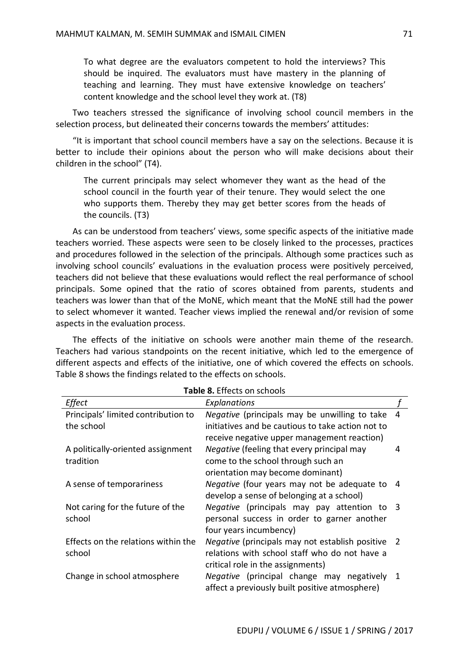To what degree are the evaluators competent to hold the interviews? This should be inquired. The evaluators must have mastery in the planning of teaching and learning. They must have extensive knowledge on teachers' content knowledge and the school level they work at. (T8)

Two teachers stressed the significance of involving school council members in the selection process, but delineated their concerns towards the members' attitudes:

"It is important that school council members have a say on the selections. Because it is better to include their opinions about the person who will make decisions about their children in the school" (T4).

The current principals may select whomever they want as the head of the school council in the fourth year of their tenure. They would select the one who supports them. Thereby they may get better scores from the heads of the councils. (T3)

As can be understood from teachers' views, some specific aspects of the initiative made teachers worried. These aspects were seen to be closely linked to the processes, practices and procedures followed in the selection of the principals. Although some practices such as involving school councils' evaluations in the evaluation process were positively perceived, teachers did not believe that these evaluations would reflect the real performance of school principals. Some opined that the ratio of scores obtained from parents, students and teachers was lower than that of the MoNE, which meant that the MoNE still had the power to select whomever it wanted. Teacher views implied the renewal and/or revision of some aspects in the evaluation process.

The effects of the initiative on schools were another main theme of the research. Teachers had various standpoints on the recent initiative, which led to the emergence of different aspects and effects of the initiative, one of which covered the effects on schools. Table 8 shows the findings related to the effects on schools.

| <b>Table 8.</b> Effects on schools  |                                                          |   |
|-------------------------------------|----------------------------------------------------------|---|
| Effect                              | <b>Explanations</b>                                      |   |
| Principals' limited contribution to | Negative (principals may be unwilling to take            | 4 |
| the school                          | initiatives and be cautious to take action not to        |   |
|                                     | receive negative upper management reaction)              |   |
| A politically-oriented assignment   | Negative (feeling that every principal may               | 4 |
| tradition                           | come to the school through such an                       |   |
|                                     | orientation may become dominant)                         |   |
| A sense of temporariness            | Negative (four years may not be adequate to              | 4 |
|                                     | develop a sense of belonging at a school)                |   |
| Not caring for the future of the    | Negative (principals may pay attention to 3              |   |
| school                              | personal success in order to garner another              |   |
|                                     | four years incumbency)                                   |   |
| Effects on the relations within the | <i>Negative</i> (principals may not establish positive 2 |   |
| school                              | relations with school staff who do not have a            |   |
|                                     | critical role in the assignments)                        |   |
| Change in school atmosphere         | Negative (principal change may negatively 1              |   |
|                                     | affect a previously built positive atmosphere)           |   |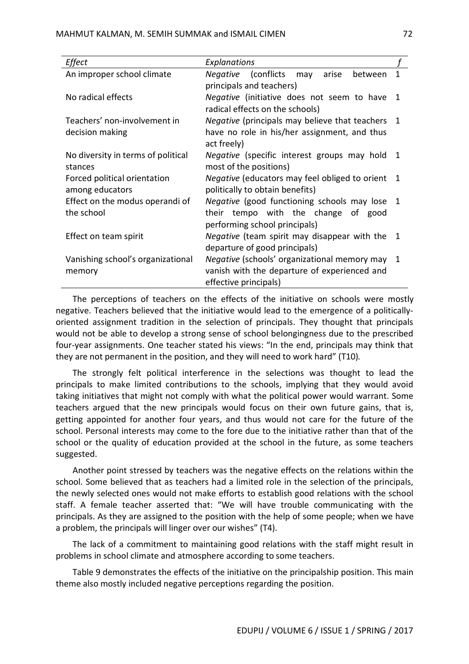| Effect                             | Explanations                                            |              |
|------------------------------------|---------------------------------------------------------|--------------|
| An improper school climate         | (conflicts may<br>Negative<br>arise<br>between          | 1            |
|                                    | principals and teachers)                                |              |
| No radical effects                 | Negative (initiative does not seem to have 1            |              |
|                                    | radical effects on the schools)                         |              |
| Teachers' non-involvement in       | <i>Negative</i> (principals may believe that teachers   | $\mathbf{1}$ |
| decision making                    | have no role in his/her assignment, and thus            |              |
|                                    | act freely)                                             |              |
| No diversity in terms of political | Negative (specific interest groups may hold             | -1           |
| stances                            | most of the positions)                                  |              |
| Forced political orientation       | <i>Negative</i> (educators may feel obliged to orient 1 |              |
| among educators                    | politically to obtain benefits)                         |              |
| Effect on the modus operandi of    | Negative (good functioning schools may lose 1           |              |
| the school                         | their tempo with the change of good                     |              |
|                                    | performing school principals)                           |              |
| Effect on team spirit              | <i>Negative</i> (team spirit may disappear with the 1   |              |
|                                    | departure of good principals)                           |              |
| Vanishing school's organizational  | Negative (schools' organizational memory may 1          |              |
| memory                             | vanish with the departure of experienced and            |              |
|                                    | effective principals)                                   |              |

The perceptions of teachers on the effects of the initiative on schools were mostly negative. Teachers believed that the initiative would lead to the emergence of a politicallyoriented assignment tradition in the selection of principals. They thought that principals would not be able to develop a strong sense of school belongingness due to the prescribed four-year assignments. One teacher stated his views: "In the end, principals may think that they are not permanent in the position, and they will need to work hard" (T10).

The strongly felt political interference in the selections was thought to lead the principals to make limited contributions to the schools, implying that they would avoid taking initiatives that might not comply with what the political power would warrant. Some teachers argued that the new principals would focus on their own future gains, that is, getting appointed for another four years, and thus would not care for the future of the school. Personal interests may come to the fore due to the initiative rather than that of the school or the quality of education provided at the school in the future, as some teachers suggested.

Another point stressed by teachers was the negative effects on the relations within the school. Some believed that as teachers had a limited role in the selection of the principals, the newly selected ones would not make efforts to establish good relations with the school staff. A female teacher asserted that: "We will have trouble communicating with the principals. As they are assigned to the position with the help of some people; when we have a problem, the principals will linger over our wishes" (T4).

The lack of a commitment to maintaining good relations with the staff might result in problems in school climate and atmosphere according to some teachers.

Table 9 demonstrates the effects of the initiative on the principalship position. This main theme also mostly included negative perceptions regarding the position.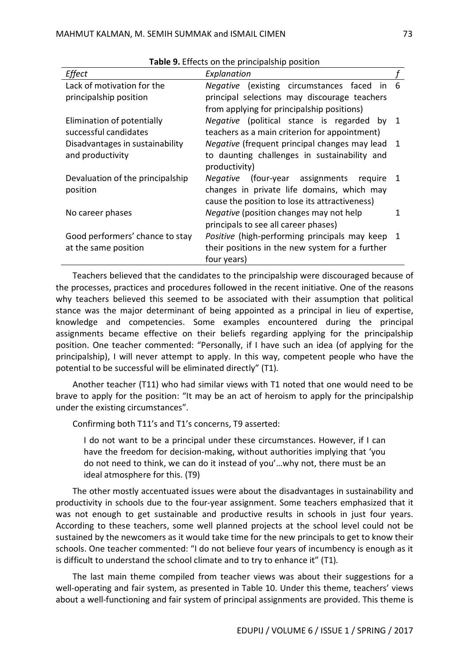| Effect                                                  | Explanation                                                                                                                                |                |
|---------------------------------------------------------|--------------------------------------------------------------------------------------------------------------------------------------------|----------------|
| Lack of motivation for the                              | Negative (existing circumstances faced<br>- in                                                                                             | 6              |
| principalship position                                  | principal selections may discourage teachers<br>from applying for principalship positions)                                                 |                |
| Elimination of potentially<br>successful candidates     | Negative (political stance is regarded by 1<br>teachers as a main criterion for appointment)                                               |                |
| Disadvantages in sustainability<br>and productivity     | Negative (frequent principal changes may lead<br>to daunting challenges in sustainability and<br>productivity)                             | $\overline{1}$ |
| Devaluation of the principalship<br>position            | Negative<br>(four-year assignments require<br>changes in private life domains, which may<br>cause the position to lose its attractiveness) | 1              |
| No career phases                                        | Negative (position changes may not help<br>principals to see all career phases)                                                            |                |
| Good performers' chance to stay<br>at the same position | Positive (high-performing principals may keep 1<br>their positions in the new system for a further<br>four years)                          |                |

**Table 9.** Effects on the principalship position

Teachers believed that the candidates to the principalship were discouraged because of the processes, practices and procedures followed in the recent initiative. One of the reasons why teachers believed this seemed to be associated with their assumption that political stance was the major determinant of being appointed as a principal in lieu of expertise, knowledge and competencies. Some examples encountered during the principal assignments became effective on their beliefs regarding applying for the principalship position. One teacher commented: "Personally, if I have such an idea (of applying for the principalship), I will never attempt to apply. In this way, competent people who have the potential to be successful will be eliminated directly" (T1).

Another teacher (T11) who had similar views with T1 noted that one would need to be brave to apply for the position: "It may be an act of heroism to apply for the principalship under the existing circumstances".

Confirming both T11's and T1's concerns, T9 asserted:

I do not want to be a principal under these circumstances. However, if I can have the freedom for decision-making, without authorities implying that 'you do not need to think, we can do it instead of you'…why not, there must be an ideal atmosphere for this. (T9)

The other mostly accentuated issues were about the disadvantages in sustainability and productivity in schools due to the four-year assignment. Some teachers emphasized that it was not enough to get sustainable and productive results in schools in just four years. According to these teachers, some well planned projects at the school level could not be sustained by the newcomers as it would take time for the new principals to get to know their schools. One teacher commented: "I do not believe four years of incumbency is enough as it is difficult to understand the school climate and to try to enhance it" (T1).

The last main theme compiled from teacher views was about their suggestions for a well-operating and fair system, as presented in Table 10. Under this theme, teachers' views about a well-functioning and fair system of principal assignments are provided. This theme is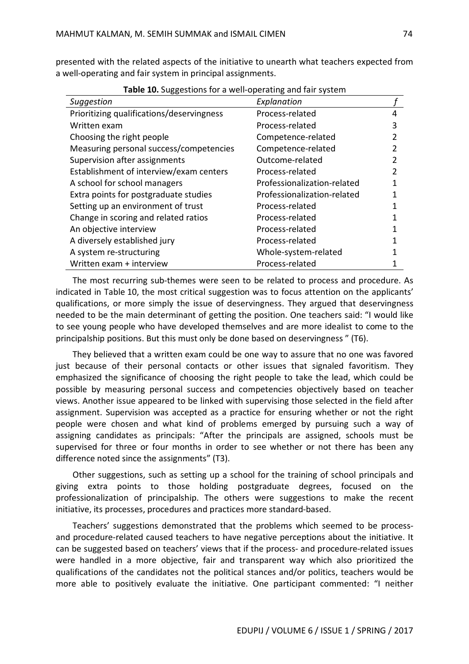presented with the related aspects of the initiative to unearth what teachers expected from a well-operating and fair system in principal assignments.

| $\frac{1}{2}$ and $\frac{1}{2}$ and $\frac{1}{2}$ and $\frac{1}{2}$ and $\frac{1}{2}$ and $\frac{1}{2}$ and $\frac{1}{2}$ and $\frac{1}{2}$ and $\frac{1}{2}$ and $\frac{1}{2}$ and $\frac{1}{2}$ and $\frac{1}{2}$ and $\frac{1}{2}$ and $\frac{1}{2}$ and $\frac{1}{2}$ and $\frac{1}{2}$ a<br>Suggestion | Explanation                 |   |
|-------------------------------------------------------------------------------------------------------------------------------------------------------------------------------------------------------------------------------------------------------------------------------------------------------------|-----------------------------|---|
| Prioritizing qualifications/deservingness                                                                                                                                                                                                                                                                   | Process-related             | 4 |
| Written exam                                                                                                                                                                                                                                                                                                | Process-related             | 3 |
| Choosing the right people                                                                                                                                                                                                                                                                                   | Competence-related          |   |
| Measuring personal success/competencies                                                                                                                                                                                                                                                                     | Competence-related          | 2 |
| Supervision after assignments                                                                                                                                                                                                                                                                               | Outcome-related             | 2 |
| Establishment of interview/exam centers                                                                                                                                                                                                                                                                     | Process-related             |   |
| A school for school managers                                                                                                                                                                                                                                                                                | Professionalization-related |   |
| Extra points for postgraduate studies                                                                                                                                                                                                                                                                       | Professionalization-related |   |
| Setting up an environment of trust                                                                                                                                                                                                                                                                          | Process-related             |   |
| Change in scoring and related ratios                                                                                                                                                                                                                                                                        | Process-related             |   |
| An objective interview                                                                                                                                                                                                                                                                                      | Process-related             |   |
| A diversely established jury                                                                                                                                                                                                                                                                                | Process-related             |   |
| A system re-structuring                                                                                                                                                                                                                                                                                     | Whole-system-related        |   |
| Written exam + interview                                                                                                                                                                                                                                                                                    | Process-related             |   |

**Table 10.** Suggestions for a well-operating and fair system

The most recurring sub-themes were seen to be related to process and procedure. As indicated in Table 10, the most critical suggestion was to focus attention on the applicants' qualifications, or more simply the issue of deservingness. They argued that deservingness needed to be the main determinant of getting the position. One teachers said: "I would like to see young people who have developed themselves and are more idealist to come to the principalship positions. But this must only be done based on deservingness " (T6).

They believed that a written exam could be one way to assure that no one was favored just because of their personal contacts or other issues that signaled favoritism. They emphasized the significance of choosing the right people to take the lead, which could be possible by measuring personal success and competencies objectively based on teacher views. Another issue appeared to be linked with supervising those selected in the field after assignment. Supervision was accepted as a practice for ensuring whether or not the right people were chosen and what kind of problems emerged by pursuing such a way of assigning candidates as principals: "After the principals are assigned, schools must be supervised for three or four months in order to see whether or not there has been any difference noted since the assignments" (T3).

Other suggestions, such as setting up a school for the training of school principals and giving extra points to those holding postgraduate degrees, focused on the professionalization of principalship. The others were suggestions to make the recent initiative, its processes, procedures and practices more standard-based.

Teachers' suggestions demonstrated that the problems which seemed to be processand procedure-related caused teachers to have negative perceptions about the initiative. It can be suggested based on teachers' views that if the process- and procedure-related issues were handled in a more objective, fair and transparent way which also prioritized the qualifications of the candidates not the political stances and/or politics, teachers would be more able to positively evaluate the initiative. One participant commented: "I neither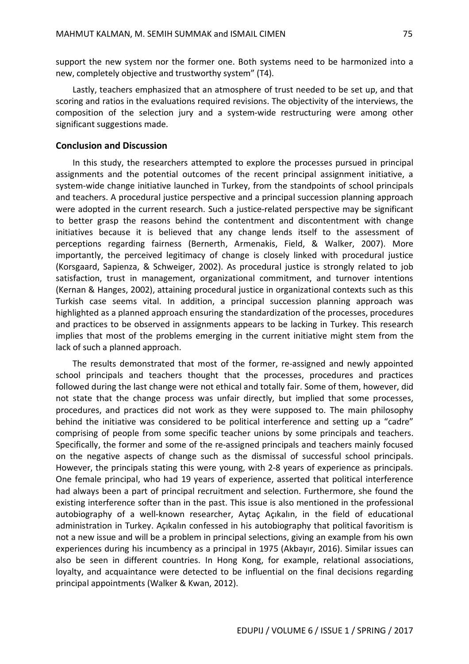support the new system nor the former one. Both systems need to be harmonized into a new, completely objective and trustworthy system" (T4).

Lastly, teachers emphasized that an atmosphere of trust needed to be set up, and that scoring and ratios in the evaluations required revisions. The objectivity of the interviews, the composition of the selection jury and a system-wide restructuring were among other significant suggestions made.

#### **Conclusion and Discussion**

In this study, the researchers attempted to explore the processes pursued in principal assignments and the potential outcomes of the recent principal assignment initiative, a system-wide change initiative launched in Turkey, from the standpoints of school principals and teachers. A procedural justice perspective and a principal succession planning approach were adopted in the current research. Such a justice-related perspective may be significant to better grasp the reasons behind the contentment and discontentment with change initiatives because it is believed that any change lends itself to the assessment of perceptions regarding fairness (Bernerth, Armenakis, Field, & Walker, 2007). More importantly, the perceived legitimacy of change is closely linked with procedural justice (Korsgaard, Sapienza, & Schweiger, 2002). As procedural justice is strongly related to job satisfaction, trust in management, organizational commitment, and turnover intentions (Kernan & Hanges, 2002), attaining procedural justice in organizational contexts such as this Turkish case seems vital. In addition, a principal succession planning approach was highlighted as a planned approach ensuring the standardization of the processes, procedures and practices to be observed in assignments appears to be lacking in Turkey. This research implies that most of the problems emerging in the current initiative might stem from the lack of such a planned approach.

The results demonstrated that most of the former, re-assigned and newly appointed school principals and teachers thought that the processes, procedures and practices followed during the last change were not ethical and totally fair. Some of them, however, did not state that the change process was unfair directly, but implied that some processes, procedures, and practices did not work as they were supposed to. The main philosophy behind the initiative was considered to be political interference and setting up a "cadre" comprising of people from some specific teacher unions by some principals and teachers. Specifically, the former and some of the re-assigned principals and teachers mainly focused on the negative aspects of change such as the dismissal of successful school principals. However, the principals stating this were young, with 2-8 years of experience as principals. One female principal, who had 19 years of experience, asserted that political interference had always been a part of principal recruitment and selection. Furthermore, she found the existing interference softer than in the past. This issue is also mentioned in the professional autobiography of a well-known researcher, Aytaç Açıkalın, in the field of educational administration in Turkey. Açıkalın confessed in his autobiography that political favoritism is not a new issue and will be a problem in principal selections, giving an example from his own experiences during his incumbency as a principal in 1975 (Akbayır, 2016). Similar issues can also be seen in different countries. In Hong Kong, for example, relational associations, loyalty, and acquaintance were detected to be influential on the final decisions regarding principal appointments (Walker & Kwan, 2012).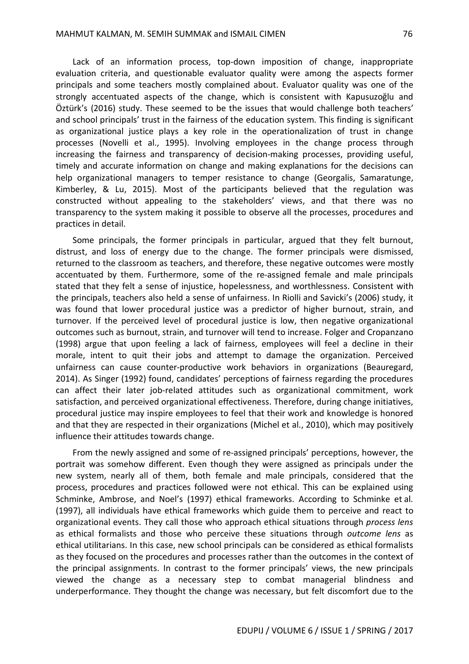Lack of an information process, top-down imposition of change, inappropriate evaluation criteria, and questionable evaluator quality were among the aspects former principals and some teachers mostly complained about. Evaluator quality was one of the strongly accentuated aspects of the change, which is consistent with Kapusuzoğlu and Öztürk's (2016) study. These seemed to be the issues that would challenge both teachers' and school principals' trust in the fairness of the education system. This finding is significant as organizational justice plays a key role in the operationalization of trust in change processes (Novelli et al., 1995). Involving employees in the change process through increasing the fairness and transparency of decision-making processes, providing useful, timely and accurate information on change and making explanations for the decisions can help organizational managers to temper resistance to change (Georgalis, Samaratunge, Kimberley, & Lu, 2015). Most of the participants believed that the regulation was constructed without appealing to the stakeholders' views, and that there was no transparency to the system making it possible to observe all the processes, procedures and practices in detail.

Some principals, the former principals in particular, argued that they felt burnout, distrust, and loss of energy due to the change. The former principals were dismissed, returned to the classroom as teachers, and therefore, these negative outcomes were mostly accentuated by them. Furthermore, some of the re-assigned female and male principals stated that they felt a sense of injustice, hopelessness, and worthlessness. Consistent with the principals, teachers also held a sense of unfairness. In Riolli and Savicki's (2006) study, it was found that lower procedural justice was a predictor of higher burnout, strain, and turnover. If the perceived level of procedural justice is low, then negative organizational outcomes such as burnout, strain, and turnover will tend to increase. Folger and Cropanzano (1998) argue that upon feeling a lack of fairness, employees will feel a decline in their morale, intent to quit their jobs and attempt to damage the organization. Perceived unfairness can cause counter-productive work behaviors in organizations (Beauregard, 2014). As Singer (1992) found, candidates' perceptions of fairness regarding the procedures can affect their later job-related attitudes such as organizational commitment, work satisfaction, and perceived organizational effectiveness. Therefore, during change initiatives, procedural justice may inspire employees to feel that their work and knowledge is honored and that they are respected in their organizations (Michel et al., 2010), which may positively influence their attitudes towards change.

From the newly assigned and some of re-assigned principals' perceptions, however, the portrait was somehow different. Even though they were assigned as principals under the new system, nearly all of them, both female and male principals, considered that the process, procedures and practices followed were not ethical. This can be explained using Schminke, Ambrose, and Noel's (1997) ethical frameworks. According to Schminke et al. (1997), all individuals have ethical frameworks which guide them to perceive and react to organizational events. They call those who approach ethical situations through *process lens* as ethical formalists and those who perceive these situations through *outcome lens* as ethical utilitarians. In this case, new school principals can be considered as ethical formalists as they focused on the procedures and processes rather than the outcomes in the context of the principal assignments. In contrast to the former principals' views, the new principals viewed the change as a necessary step to combat managerial blindness and underperformance. They thought the change was necessary, but felt discomfort due to the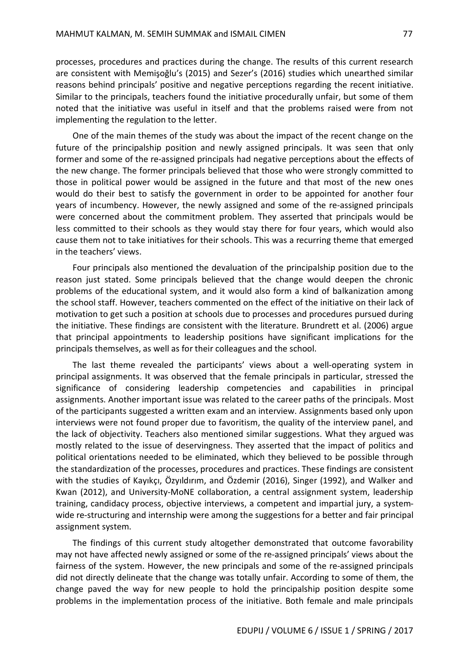processes, procedures and practices during the change. The results of this current research are consistent with Memişoğlu's (2015) and Sezer's (2016) studies which unearthed similar reasons behind principals' positive and negative perceptions regarding the recent initiative. Similar to the principals, teachers found the initiative procedurally unfair, but some of them noted that the initiative was useful in itself and that the problems raised were from not implementing the regulation to the letter.

One of the main themes of the study was about the impact of the recent change on the future of the principalship position and newly assigned principals. It was seen that only former and some of the re-assigned principals had negative perceptions about the effects of the new change. The former principals believed that those who were strongly committed to those in political power would be assigned in the future and that most of the new ones would do their best to satisfy the government in order to be appointed for another four years of incumbency. However, the newly assigned and some of the re-assigned principals were concerned about the commitment problem. They asserted that principals would be less committed to their schools as they would stay there for four years, which would also cause them not to take initiatives for their schools. This was a recurring theme that emerged in the teachers' views.

Four principals also mentioned the devaluation of the principalship position due to the reason just stated. Some principals believed that the change would deepen the chronic problems of the educational system, and it would also form a kind of balkanization among the school staff. However, teachers commented on the effect of the initiative on their lack of motivation to get such a position at schools due to processes and procedures pursued during the initiative. These findings are consistent with the literature. Brundrett et al. (2006) argue that principal appointments to leadership positions have significant implications for the principals themselves, as well as for their colleagues and the school.

The last theme revealed the participants' views about a well-operating system in principal assignments. It was observed that the female principals in particular, stressed the significance of considering leadership competencies and capabilities in principal assignments. Another important issue was related to the career paths of the principals. Most of the participants suggested a written exam and an interview. Assignments based only upon interviews were not found proper due to favoritism, the quality of the interview panel, and the lack of objectivity. Teachers also mentioned similar suggestions. What they argued was mostly related to the issue of deservingness. They asserted that the impact of politics and political orientations needed to be eliminated, which they believed to be possible through the standardization of the processes, procedures and practices. These findings are consistent with the studies of Kayıkçı, Özyıldırım, and Özdemir (2016), Singer (1992), and Walker and Kwan (2012), and University-MoNE collaboration, a central assignment system, leadership training, candidacy process, objective interviews, a competent and impartial jury, a systemwide re-structuring and internship were among the suggestions for a better and fair principal assignment system.

The findings of this current study altogether demonstrated that outcome favorability may not have affected newly assigned or some of the re-assigned principals' views about the fairness of the system. However, the new principals and some of the re-assigned principals did not directly delineate that the change was totally unfair. According to some of them, the change paved the way for new people to hold the principalship position despite some problems in the implementation process of the initiative. Both female and male principals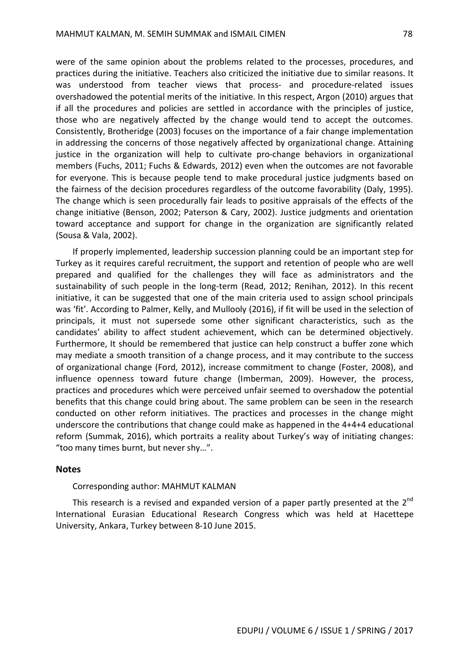were of the same opinion about the problems related to the processes, procedures, and practices during the initiative. Teachers also criticized the initiative due to similar reasons. It was understood from teacher views that process- and procedure-related issues overshadowed the potential merits of the initiative. In this respect, Argon (2010) argues that if all the procedures and policies are settled in accordance with the principles of justice, those who are negatively affected by the change would tend to accept the outcomes. Consistently, Brotheridge (2003) focuses on the importance of a fair change implementation in addressing the concerns of those negatively affected by organizational change. Attaining justice in the organization will help to cultivate pro-change behaviors in organizational members (Fuchs, 2011; Fuchs & Edwards, 2012) even when the outcomes are not favorable for everyone. This is because people tend to make procedural justice judgments based on the fairness of the decision procedures regardless of the outcome favorability (Daly, 1995). The change which is seen procedurally fair leads to positive appraisals of the effects of the change initiative (Benson, 2002; Paterson & Cary, 2002). Justice judgments and orientation toward acceptance and support for change in the organization are significantly related (Sousa & Vala, 2002).

If properly implemented, leadership succession planning could be an important step for Turkey as it requires careful recruitment, the support and retention of people who are well prepared and qualified for the challenges they will face as administrators and the sustainability of such people in the long-term (Read, 2012; Renihan, 2012). In this recent initiative, it can be suggested that one of the main criteria used to assign school principals was 'fit'. According to Palmer, Kelly, and Mullooly (2016), if fit will be used in the selection of principals, it must not supersede some other significant characteristics, such as the candidates' ability to affect student achievement, which can be determined objectively. Furthermore, It should be remembered that justice can help construct a buffer zone which may mediate a smooth transition of a change process, and it may contribute to the success of organizational change (Ford, 2012), increase commitment to change (Foster, 2008), and influence openness toward future change (Imberman, 2009). However, the process, practices and procedures which were perceived unfair seemed to overshadow the potential benefits that this change could bring about. The same problem can be seen in the research conducted on other reform initiatives. The practices and processes in the change might underscore the contributions that change could make as happened in the 4+4+4 educational reform (Summak, 2016), which portraits a reality about Turkey's way of initiating changes: "too many times burnt, but never shy…".

#### **Notes**

#### Corresponding author: MAHMUT KALMAN

This research is a revised and expanded version of a paper partly presented at the  $2^{nd}$ International Eurasian Educational Research Congress which was held at Hacettepe University, Ankara, Turkey between 8-10 June 2015.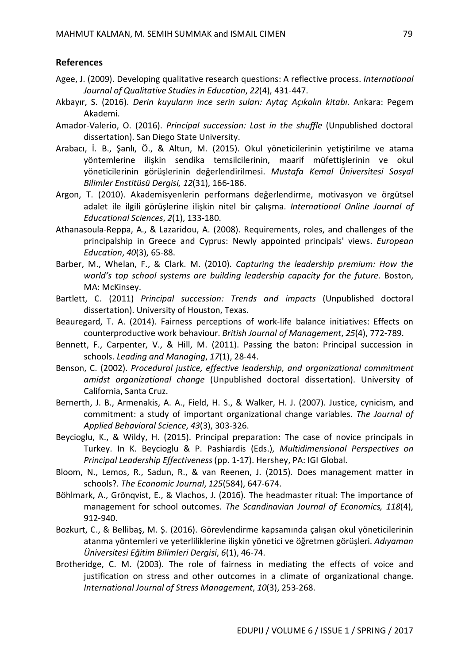## **References**

- Agee, J. (2009). Developing qualitative research questions: A reflective process. *International Journal of Qualitative Studies in Education*, *22*(4), 431-447.
- Akbayır, S. (2016). *Derin kuyuların ince serin suları: Aytaç Açıkalın kitabı*. Ankara: Pegem Akademi.
- Amador-Valerio, O. (2016). *Principal succession: Lost in the shuffle* (Unpublished doctoral dissertation). San Diego State University.
- Arabacı, İ. B., Şanlı, Ö., & Altun, M. (2015). Okul yöneticilerinin yetiştirilme ve atama yöntemlerine ilişkin sendika temsilcilerinin, maarif müfettişlerinin ve okul yöneticilerinin görüşlerinin değerlendirilmesi. *Mustafa Kemal Üniversitesi Sosyal Bilimler Enstitüsü Dergisi, 12*(31), 166-186.
- Argon, T. (2010). Akademisyenlerin performans değerlendirme, motivasyon ve örgütsel adalet ile ilgili görüşlerine ilişkin nitel bir çalışma. *International Online Journal of Educational Sciences*, *2*(1), 133-180.
- Athanasoula-Reppa, A., & Lazaridou, A. (2008). Requirements, roles, and challenges of the principalship in Greece and Cyprus: Newly appointed principals' views. *European Education*, *40*(3), 65-88.
- Barber, M., Whelan, F., & Clark. M. (2010). *Capturing the leadership premium: How the world's top school systems are building leadership capacity for the future*. Boston, MA: McKinsey.
- Bartlett, C. (2011) *Principal succession: Trends and impacts* (Unpublished doctoral dissertation). University of Houston, Texas.
- Beauregard, T. A. (2014). Fairness perceptions of work-life balance initiatives: Effects on counterproductive work behaviour. *British Journal of Management*, *25*(4), 772-789.
- Bennett, F., Carpenter, V., & Hill, M. (2011). Passing the baton: Principal succession in schools. *Leading and Managing*, *17*(1), 28-44.
- Benson, C. (2002). *Procedural justice, effective leadership, and organizational commitment amidst organizational change* (Unpublished doctoral dissertation). University of California, Santa Cruz.
- Bernerth, J. B., Armenakis, A. A., Field, H. S., & Walker, H. J. (2007). Justice, cynicism, and commitment: a study of important organizational change variables. *The Journal of Applied Behavioral Science*, *43*(3), 303-326.
- Beycioglu, K., & Wildy, H. (2015). Principal preparation: The case of novice principals in Turkey. In K. Beycioglu & P. Pashiardis (Eds.), *Multidimensional Perspectives on Principal Leadership Effectiveness* (pp. 1-17). Hershey, PA: IGI Global.
- Bloom, N., Lemos, R., Sadun, R., & van Reenen, J. (2015). Does management matter in schools?. *The Economic Journal*, *125*(584), 647-674.
- Böhlmark, A., Grönqvist, E., & Vlachos, J. (2016). The headmaster ritual: The importance of management for school outcomes. *The Scandinavian Journal of Economics, 118*(4), 912-940.
- Bozkurt, C., & Bellibaş, M. Ş. (2016). Görevlendirme kapsamında çalışan okul yöneticilerinin atanma yöntemleri ve yeterliliklerine ilişkin yönetici ve öğretmen görüşleri. *Adıyaman Üniversitesi Eğitim Bilimleri Dergisi*, *6*(1), 46-74.
- Brotheridge, C. M. (2003). The role of fairness in mediating the effects of voice and justification on stress and other outcomes in a climate of organizational change. *International Journal of Stress Management*, *10*(3), 253-268.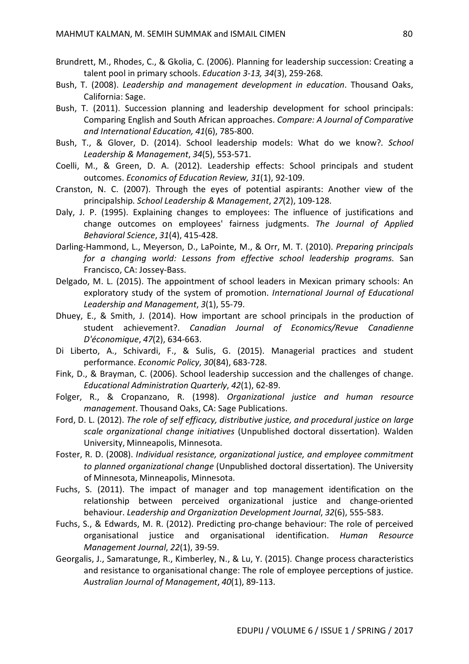- Brundrett, M., Rhodes, C., & Gkolia, C. (2006). Planning for leadership succession: Creating a talent pool in primary schools. *Education 3-13, 34*(3), 259-268.
- Bush, T. (2008). *Leadership and management development in education*. Thousand Oaks, California: Sage.
- Bush, T. (2011). Succession planning and leadership development for school principals: Comparing English and South African approaches. *Compare: A Journal of Comparative and International Education, 41*(6), 785-800.
- Bush, T., & Glover, D. (2014). School leadership models: What do we know?. *School Leadership & Management*, *34*(5), 553-571.
- Coelli, M., & Green, D. A. (2012). Leadership effects: School principals and student outcomes. *Economics of Education Review, 31*(1), 92-109.
- Cranston, N. C. (2007). Through the eyes of potential aspirants: Another view of the principalship. *School Leadership & Management*, *27*(2), 109-128.
- Daly, J. P. (1995). Explaining changes to employees: The influence of justifications and change outcomes on employees' fairness judgments. *The Journal of Applied Behavioral Science*, *31*(4), 415-428.
- Darling-Hammond, L., Meyerson, D., LaPointe, M., & Orr, M. T. (2010). *Preparing principals for a changing world: Lessons from effective school leadership programs*. San Francisco, CA: Jossey-Bass.
- Delgado, M. L. (2015). The appointment of school leaders in Mexican primary schools: An exploratory study of the system of promotion. *International Journal of Educational Leadership and Management*, *3*(1), 55-79.
- Dhuey, E., & Smith, J. (2014). How important are school principals in the production of student achievement?. *Canadian Journal of Economics/Revue Canadienne D'économique*, *47*(2), 634-663.
- Di Liberto, A., Schivardi, F., & Sulis, G. (2015). Managerial practices and student performance. *Economic Policy*, *30*(84), 683-728.
- Fink, D., & Brayman, C. (2006). School leadership succession and the challenges of change. *Educational Administration Quarterly*, *42*(1), 62-89.
- Folger, R., & Cropanzano, R. (1998). *Organizational justice and human resource management*. Thousand Oaks, CA: Sage Publications.
- Ford, D. L. (2012). *The role of self efficacy, distributive justice, and procedural justice on large scale organizational change initiatives* (Unpublished doctoral dissertation). Walden University, Minneapolis, Minnesota.
- Foster, R. D. (2008). *Individual resistance, organizational justice, and employee commitment to planned organizational change* (Unpublished doctoral dissertation). The University of Minnesota, Minneapolis, Minnesota.
- Fuchs, S. (2011). The impact of manager and top management identification on the relationship between perceived organizational justice and change-oriented behaviour. *Leadership and Organization Development Journal*, *32*(6), 555-583.
- Fuchs, S., & Edwards, M. R. (2012). Predicting pro-change behaviour: The role of perceived organisational justice and organisational identification. *Human Resource Management Journal*, *22*(1), 39-59.
- Georgalis, J., Samaratunge, R., Kimberley, N., & Lu, Y. (2015). Change process characteristics and resistance to organisational change: The role of employee perceptions of justice. *Australian Journal of Management*, *40*(1), 89-113.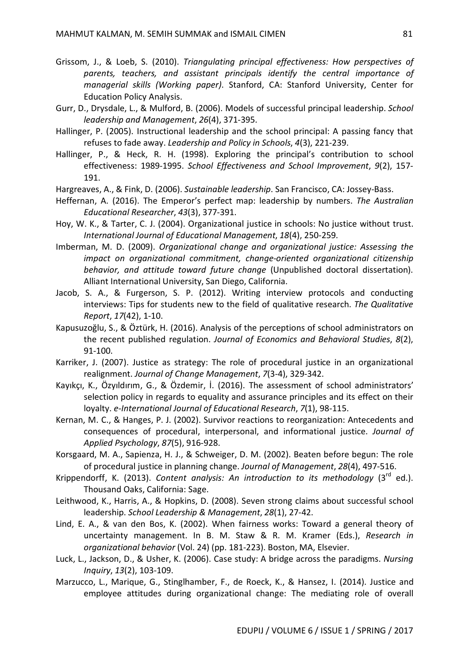- Grissom, J., & Loeb, S. (2010). *Triangulating principal effectiveness: How perspectives of parents, teachers, and assistant principals identify the central importance of managerial skills (Working paper)*. Stanford, CA: Stanford University, Center for Education Policy Analysis.
- Gurr, D., Drysdale, L., & Mulford, B. (2006). Models of successful principal leadership. *School leadership and Management*, *26*(4), 371-395.
- Hallinger, P. (2005). Instructional leadership and the school principal: A passing fancy that refuses to fade away. *Leadership and Policy in Schools*, *4*(3), 221-239.
- Hallinger, P., & Heck, R. H. (1998). Exploring the principal's contribution to school effectiveness: 1989-1995. *School Effectiveness and School Improvement*, *9*(2), 157- 191.
- Hargreaves, A., & Fink, D. (2006). *Sustainable leadership*. San Francisco, CA: Jossey-Bass.
- Heffernan, A. (2016). The Emperor's perfect map: leadership by numbers. *The Australian Educational Researcher*, *43*(3), 377-391.
- Hoy, W. K., & Tarter, C. J. (2004). Organizational justice in schools: No justice without trust. *International Journal of Educational Management*, *18*(4), 250-259.
- Imberman, M. D. (2009). *Organizational change and organizational justice: Assessing the impact on organizational commitment, change-oriented organizational citizenship behavior, and attitude toward future change* (Unpublished doctoral dissertation). Alliant International University, San Diego, California.
- Jacob, S. A., & Furgerson, S. P. (2012). Writing interview protocols and conducting interviews: Tips for students new to the field of qualitative research. *The Qualitative Report*, *17*(42), 1-10.
- Kapusuzoğlu, S., & Öztürk, H. (2016). Analysis of the perceptions of school administrators on the recent published regulation. *Journal of Economics and Behavioral Studies*, *8*(2), 91-100.
- Karriker, J. (2007). Justice as strategy: The role of procedural justice in an organizational realignment. *Journal of Change Management*, *7*(3-4), 329-342.
- Kayıkçı, K., Özyıldırım, G., & Özdemir, İ. (2016). The assessment of school administrators' selection policy in regards to equality and assurance principles and its effect on their loyalty. *e-International Journal of Educational Research*, *7*(1), 98-115.
- Kernan, M. C., & Hanges, P. J. (2002). Survivor reactions to reorganization: Antecedents and consequences of procedural, interpersonal, and informational justice. *Journal of Applied Psychology*, *87*(5), 916-928.
- Korsgaard, M. A., Sapienza, H. J., & Schweiger, D. M. (2002). Beaten before begun: The role of procedural justice in planning change. *Journal of Management*, *28*(4), 497-516.
- Krippendorff, K. (2013). *Content analysis: An introduction to its methodology* (3<sup>rd</sup> ed.). Thousand Oaks, California: Sage.
- Leithwood, K., Harris, A., & Hopkins, D. (2008). Seven strong claims about successful school leadership. *School Leadership & Management*, *28*(1), 27-42.
- Lind, E. A., & van den Bos, K. (2002). When fairness works: Toward a general theory of uncertainty management. In B. M. Staw & R. M. Kramer (Eds.), *Research in organizational behavior* (Vol. 24) (pp. 181-223). Boston, MA, Elsevier.
- Luck, L., Jackson, D., & Usher, K. (2006). Case study: A bridge across the paradigms. *Nursing Inquiry*, *13*(2), 103-109.
- Marzucco, L., Marique, G., Stinglhamber, F., de Roeck, K., & Hansez, I. (2014). Justice and employee attitudes during organizational change: The mediating role of overall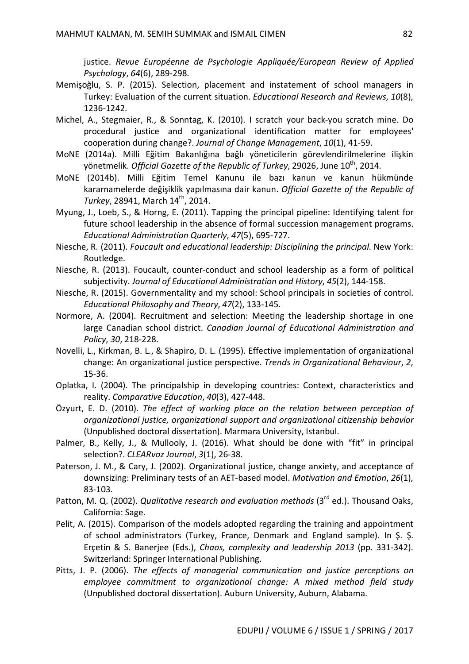justice. *Revue Européenne de Psychologie Appliquée/European Review of Applied Psychology*, *64*(6), 289-298.

- Memişoğlu, S. P. (2015). Selection, placement and instatement of school managers in Turkey: Evaluation of the current situation. *Educational Research and Reviews*, *10*(8), 1236-1242.
- Michel, A., Stegmaier, R., & Sonntag, K. (2010). I scratch your back-you scratch mine. Do procedural justice and organizational identification matter for employees' cooperation during change?. *Journal of Change Management*, *10*(1), 41-59.
- MoNE (2014a). Milli Eğitim Bakanlığına bağlı yöneticilerin görevlendirilmelerine ilişkin yönetmelik. Official Gazette of the Republic of Turkey, 29026, June 10<sup>th</sup>, 2014.
- MoNE (2014b). Milli Eğitim Temel Kanunu ile bazı kanun ve kanun hükmünde kararnamelerde değişiklik yapılmasına dair kanun. *Official Gazette of the Republic of Turkey*, 28941, March 14 th, 2014.
- Myung, J., Loeb, S., & Horng, E. (2011). Tapping the principal pipeline: Identifying talent for future school leadership in the absence of formal succession management programs. *Educational Administration Quarterly*, *47*(5), 695-727.
- Niesche, R. (2011). *Foucault and educational leadership: Disciplining the principal*. New York: Routledge.
- Niesche, R. (2013). Foucault, counter-conduct and school leadership as a form of political subjectivity. *Journal of Educational Administration and History*, *45*(2), 144-158.
- Niesche, R. (2015). Governmentality and my school: School principals in societies of control. *Educational Philosophy and Theory*, *47*(2), 133-145.
- Normore, A. (2004). Recruitment and selection: Meeting the leadership shortage in one large Canadian school district. *Canadian Journal of Educational Administration and Policy*, *30*, 218-228.
- Novelli, L., Kirkman, B. L., & Shapiro, D. L. (1995). Effective implementation of organizational change: An organizational justice perspective. *Trends in Organizational Behaviour*, *2*, 15-36.
- Oplatka, I. (2004). The principalship in developing countries: Context, characteristics and reality. *Comparative Education*, *40*(3), 427-448.
- Özyurt, E. D. (2010). *The effect of working place on the relation between perception of organizational justice, organizational support and organizational citizenship behavior* (Unpublished doctoral dissertation). Marmara University, Istanbul.
- Palmer, B., Kelly, J., & Mullooly, J. (2016). What should be done with "fit" in principal selection?. *CLEARvoz Journal*, *3*(1), 26-38.
- Paterson, J. M., & Cary, J. (2002). Organizational justice, change anxiety, and acceptance of downsizing: Preliminary tests of an AET-based model. *Motivation and Emotion*, *26*(1), 83-103.
- Patton, M. Q. (2002). *Qualitative research and evaluation methods* (3<sup>rd</sup> ed.). Thousand Oaks, California: Sage.
- Pelit, A. (2015). Comparison of the models adopted regarding the training and appointment of school administrators (Turkey, France, Denmark and England sample). In Ş. Ş. Erçetin & S. Banerjee (Eds.), *Chaos, complexity and leadership 2013* (pp. 331-342). Switzerland: Springer International Publishing.
- Pitts, J. P. (2006). *The effects of managerial communication and justice perceptions on employee commitment to organizational change: A mixed method field study* (Unpublished doctoral dissertation). Auburn University, Auburn, Alabama.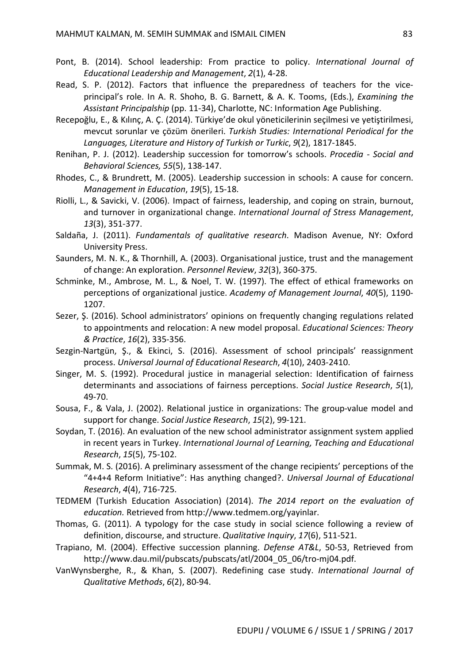- Pont, B. (2014). School leadership: From practice to policy. *International Journal of Educational Leadership and Management*, *2*(1), 4-28.
- Read, S. P. (2012). Factors that influence the preparedness of teachers for the viceprincipal's role. In A. R. Shoho, B. G. Barnett, & A. K. Tooms, (Eds.), *Examining the Assistant Principalship* (pp. 11-34), Charlotte, NC: Information Age Publishing.
- Recepoğlu, E., & Kılınç, A. Ç. (2014). Türkiye'de okul yöneticilerinin seçilmesi ve yetiştirilmesi, mevcut sorunlar ve çözüm önerileri. *Turkish Studies: International Periodical for the Languages, Literature and History of Turkish or Turkic*, *9*(2), 1817-1845.
- Renihan, P. J. (2012). Leadership succession for tomorrow's schools. *Procedia - Social and Behavioral Sciences, 55*(5), 138-147.
- Rhodes, C., & Brundrett, M. (2005). Leadership succession in schools: A cause for concern. *Management in Education*, *19*(5), 15-18.
- Riolli, L., & Savicki, V. (2006). Impact of fairness, leadership, and coping on strain, burnout, and turnover in organizational change. *International Journal of Stress Management*, *13*(3), 351-377.
- Saldaña, J. (2011). *Fundamentals of qualitative research*. Madison Avenue, NY: Oxford University Press.
- Saunders, M. N. K., & Thornhill, A. (2003). Organisational justice, trust and the management of change: An exploration. *Personnel Review*, *32*(3), 360-375.
- Schminke, M., Ambrose, M. L., & Noel, T. W. (1997). The effect of ethical frameworks on perceptions of organizational justice. *Academy of Management Journal*, *40*(5), 1190- 1207.
- Sezer, Ş. (2016). School administrators' opinions on frequently changing regulations related to appointments and relocation: A new model proposal. *Educational Sciences: Theory & Practice*, *16*(2), 335-356.
- Sezgin-Nartgün, Ş., & Ekinci, S. (2016). Assessment of school principals' reassignment process. *Universal Journal of Educational Research*, *4*(10), 2403-2410.
- Singer, M. S. (1992). Procedural justice in managerial selection: Identification of fairness determinants and associations of fairness perceptions. *Social Justice Research*, *5*(1), 49-70.
- Sousa, F., & Vala, J. (2002). Relational justice in organizations: The group-value model and support for change. *Social Justice Research*, *15*(2), 99-121.
- Soydan, T. (2016). An evaluation of the new school administrator assignment system applied in recent years in Turkey. *International Journal of Learning, Teaching and Educational Research*, *15*(5), 75-102.
- Summak, M. S. (2016). A preliminary assessment of the change recipients' perceptions of the "4+4+4 Reform Initiative": Has anything changed?. *Universal Journal of Educational Research*, *4*(4), 716-725.
- TEDMEM (Turkish Education Association) (2014). *The 2014 report on the evaluation of education.* Retrieved from http://www.tedmem.org/yayinlar.
- Thomas, G. (2011). A typology for the case study in social science following a review of definition, discourse, and structure. *Qualitative Inquiry*, *17*(6), 511-521.
- Trapiano, M. (2004). Effective succession planning. *Defense AT&L*, 50-53, Retrieved from http://www.dau.mil/pubscats/pubscats/atl/2004\_05\_06/tro-mj04.pdf.
- VanWynsberghe, R., & Khan, S. (2007). Redefining case study. *International Journal of Qualitative Methods*, *6*(2), 80-94.